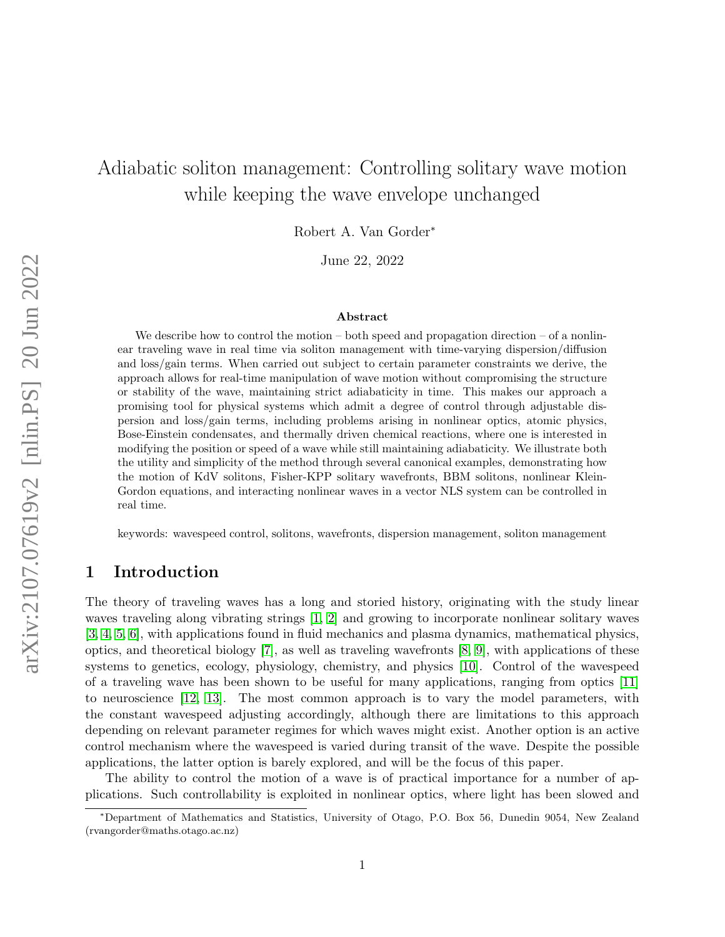# Adiabatic soliton management: Controlling solitary wave motion while keeping the wave envelope unchanged

Robert A. Van Gorder<sup>∗</sup>

June 22, 2022

#### Abstract

We describe how to control the motion  $-$  both speed and propagation direction  $-$  of a nonlinear traveling wave in real time via soliton management with time-varying dispersion/diffusion and loss/gain terms. When carried out subject to certain parameter constraints we derive, the approach allows for real-time manipulation of wave motion without compromising the structure or stability of the wave, maintaining strict adiabaticity in time. This makes our approach a promising tool for physical systems which admit a degree of control through adjustable dispersion and loss/gain terms, including problems arising in nonlinear optics, atomic physics, Bose-Einstein condensates, and thermally driven chemical reactions, where one is interested in modifying the position or speed of a wave while still maintaining adiabaticity. We illustrate both the utility and simplicity of the method through several canonical examples, demonstrating how the motion of KdV solitons, Fisher-KPP solitary wavefronts, BBM solitons, nonlinear Klein-Gordon equations, and interacting nonlinear waves in a vector NLS system can be controlled in real time.

keywords: wavespeed control, solitons, wavefronts, dispersion management, soliton management

# 1 Introduction

The theory of traveling waves has a long and storied history, originating with the study linear waves traveling along vibrating strings [\[1,](#page-17-0) [2\]](#page-18-0) and growing to incorporate nonlinear solitary waves [\[3,](#page-18-1) [4,](#page-18-2) [5,](#page-18-3) [6\]](#page-18-4), with applications found in fluid mechanics and plasma dynamics, mathematical physics, optics, and theoretical biology  $[7]$ , as well as traveling wavefronts  $[8, 9]$  $[8, 9]$ , with applications of these systems to genetics, ecology, physiology, chemistry, and physics [\[10\]](#page-18-8). Control of the wavespeed of a traveling wave has been shown to be useful for many applications, ranging from optics [\[11\]](#page-18-9) to neuroscience [\[12,](#page-18-10) [13\]](#page-18-11). The most common approach is to vary the model parameters, with the constant wavespeed adjusting accordingly, although there are limitations to this approach depending on relevant parameter regimes for which waves might exist. Another option is an active control mechanism where the wavespeed is varied during transit of the wave. Despite the possible applications, the latter option is barely explored, and will be the focus of this paper.

The ability to control the motion of a wave is of practical importance for a number of applications. Such controllability is exploited in nonlinear optics, where light has been slowed and

<sup>∗</sup>Department of Mathematics and Statistics, University of Otago, P.O. Box 56, Dunedin 9054, New Zealand (rvangorder@maths.otago.ac.nz)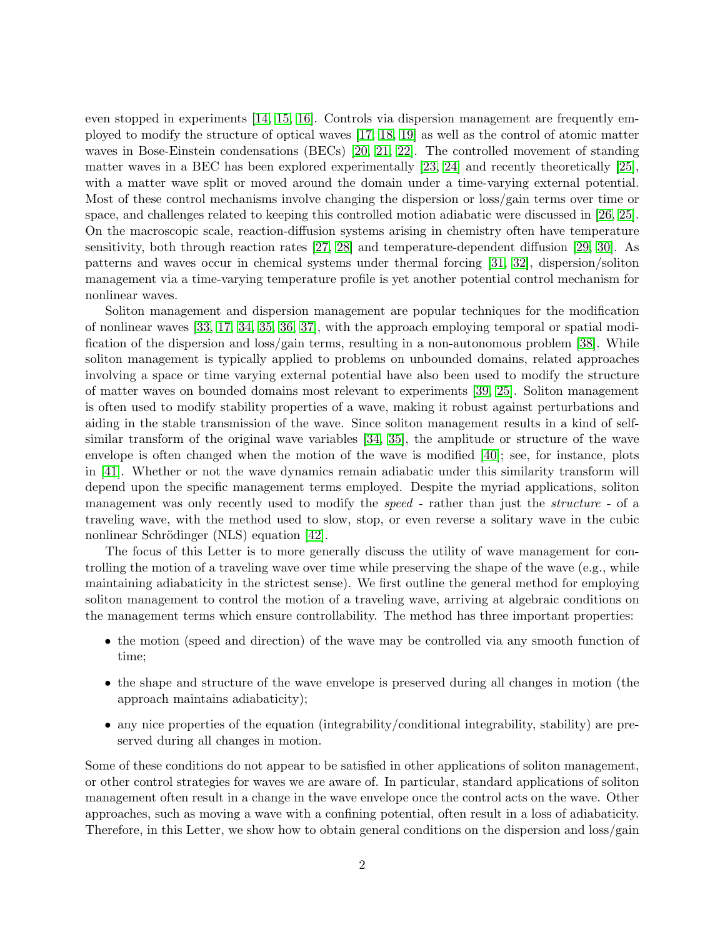even stopped in experiments [\[14,](#page-18-12) [15,](#page-18-13) [16\]](#page-18-14). Controls via dispersion management are frequently employed to modify the structure of optical waves [\[17,](#page-18-15) [18,](#page-19-0) [19\]](#page-19-1) as well as the control of atomic matter waves in Bose-Einstein condensations (BECs) [\[20,](#page-19-2) [21,](#page-19-3) [22\]](#page-19-4). The controlled movement of standing matter waves in a BEC has been explored experimentally [\[23,](#page-19-5) [24\]](#page-19-6) and recently theoretically [\[25\]](#page-19-7), with a matter wave split or moved around the domain under a time-varying external potential. Most of these control mechanisms involve changing the dispersion or loss/gain terms over time or space, and challenges related to keeping this controlled motion adiabatic were discussed in [\[26,](#page-19-8) [25\]](#page-19-7). On the macroscopic scale, reaction-diffusion systems arising in chemistry often have temperature sensitivity, both through reaction rates [\[27,](#page-19-9) [28\]](#page-19-10) and temperature-dependent diffusion [\[29,](#page-19-11) [30\]](#page-19-12). As patterns and waves occur in chemical systems under thermal forcing [\[31,](#page-19-13) [32\]](#page-19-14), dispersion/soliton management via a time-varying temperature profile is yet another potential control mechanism for nonlinear waves.

Soliton management and dispersion management are popular techniques for the modification of nonlinear waves [\[33,](#page-19-15) [17,](#page-18-15) [34,](#page-20-0) [35,](#page-20-1) [36,](#page-20-2) [37\]](#page-20-3), with the approach employing temporal or spatial modification of the dispersion and loss/gain terms, resulting in a non-autonomous problem [\[38\]](#page-20-4). While soliton management is typically applied to problems on unbounded domains, related approaches involving a space or time varying external potential have also been used to modify the structure of matter waves on bounded domains most relevant to experiments [\[39,](#page-20-5) [25\]](#page-19-7). Soliton management is often used to modify stability properties of a wave, making it robust against perturbations and aiding in the stable transmission of the wave. Since soliton management results in a kind of selfsimilar transform of the original wave variables [\[34,](#page-20-0) [35\]](#page-20-1), the amplitude or structure of the wave envelope is often changed when the motion of the wave is modified [\[40\]](#page-20-6); see, for instance, plots in [\[41\]](#page-20-7). Whether or not the wave dynamics remain adiabatic under this similarity transform will depend upon the specific management terms employed. Despite the myriad applications, soliton management was only recently used to modify the speed - rather than just the structure - of a traveling wave, with the method used to slow, stop, or even reverse a solitary wave in the cubic nonlinear Schrödinger (NLS) equation [\[42\]](#page-20-8).

The focus of this Letter is to more generally discuss the utility of wave management for controlling the motion of a traveling wave over time while preserving the shape of the wave (e.g., while maintaining adiabaticity in the strictest sense). We first outline the general method for employing soliton management to control the motion of a traveling wave, arriving at algebraic conditions on the management terms which ensure controllability. The method has three important properties:

- the motion (speed and direction) of the wave may be controlled via any smooth function of time;
- the shape and structure of the wave envelope is preserved during all changes in motion (the approach maintains adiabaticity);
- any nice properties of the equation (integrability/conditional integrability, stability) are preserved during all changes in motion.

Some of these conditions do not appear to be satisfied in other applications of soliton management, or other control strategies for waves we are aware of. In particular, standard applications of soliton management often result in a change in the wave envelope once the control acts on the wave. Other approaches, such as moving a wave with a confining potential, often result in a loss of adiabaticity. Therefore, in this Letter, we show how to obtain general conditions on the dispersion and loss/gain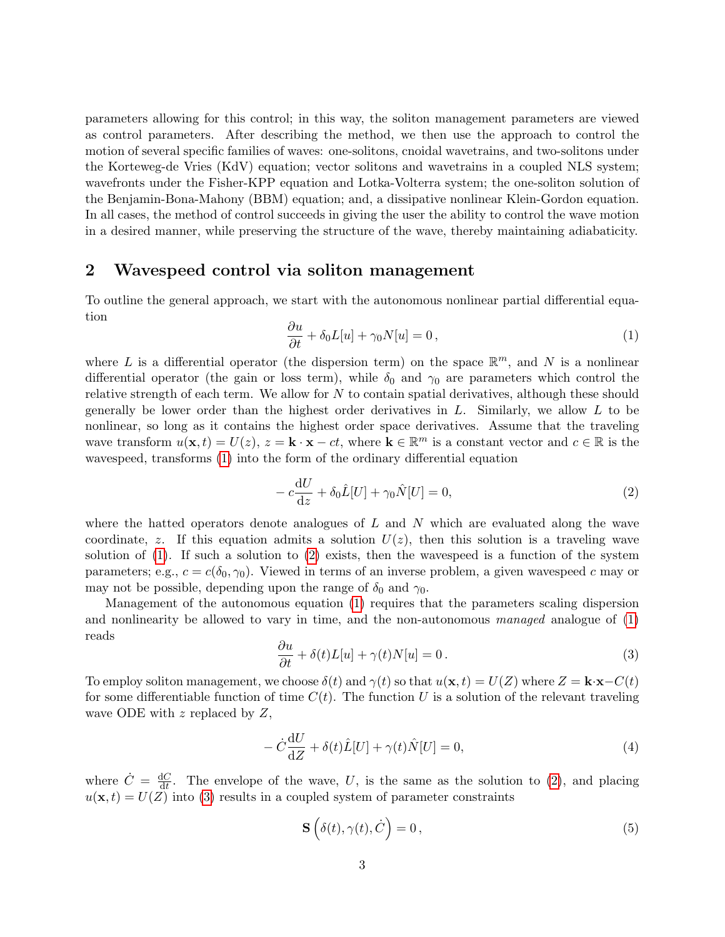parameters allowing for this control; in this way, the soliton management parameters are viewed as control parameters. After describing the method, we then use the approach to control the motion of several specific families of waves: one-solitons, cnoidal wavetrains, and two-solitons under the Korteweg-de Vries (KdV) equation; vector solitons and wavetrains in a coupled NLS system; wavefronts under the Fisher-KPP equation and Lotka-Volterra system; the one-soliton solution of the Benjamin-Bona-Mahony (BBM) equation; and, a dissipative nonlinear Klein-Gordon equation. In all cases, the method of control succeeds in giving the user the ability to control the wave motion in a desired manner, while preserving the structure of the wave, thereby maintaining adiabaticity.

## <span id="page-2-5"></span>2 Wavespeed control via soliton management

To outline the general approach, we start with the autonomous nonlinear partial differential equation

<span id="page-2-0"></span>
$$
\frac{\partial u}{\partial t} + \delta_0 L[u] + \gamma_0 N[u] = 0, \qquad (1)
$$

where L is a differential operator (the dispersion term) on the space  $\mathbb{R}^m$ , and N is a nonlinear differential operator (the gain or loss term), while  $\delta_0$  and  $\gamma_0$  are parameters which control the relative strength of each term. We allow for  $N$  to contain spatial derivatives, although these should generally be lower order than the highest order derivatives in  $L$ . Similarly, we allow  $L$  to be nonlinear, so long as it contains the highest order space derivatives. Assume that the traveling wave transform  $u(\mathbf{x},t) = U(z)$ ,  $z = \mathbf{k} \cdot \mathbf{x} - ct$ , where  $\mathbf{k} \in \mathbb{R}^m$  is a constant vector and  $c \in \mathbb{R}$  is the wavespeed, transforms [\(1\)](#page-2-0) into the form of the ordinary differential equation

<span id="page-2-1"></span>
$$
-c\frac{\mathrm{d}U}{\mathrm{d}z} + \delta_0 \hat{L}[U] + \gamma_0 \hat{N}[U] = 0,\tag{2}
$$

where the hatted operators denote analogues of  $L$  and  $N$  which are evaluated along the wave coordinate, z. If this equation admits a solution  $U(z)$ , then this solution is a traveling wave solution of  $(1)$ . If such a solution to  $(2)$  exists, then the wavespeed is a function of the system parameters; e.g.,  $c = c(\delta_0, \gamma_0)$ . Viewed in terms of an inverse problem, a given wavespeed c may or may not be possible, depending upon the range of  $\delta_0$  and  $\gamma_0$ .

Management of the autonomous equation [\(1\)](#page-2-0) requires that the parameters scaling dispersion and nonlinearity be allowed to vary in time, and the non-autonomous managed analogue of [\(1\)](#page-2-0) reads

<span id="page-2-2"></span>
$$
\frac{\partial u}{\partial t} + \delta(t)L[u] + \gamma(t)N[u] = 0.
$$
\n(3)

To employ soliton management, we choose  $\delta(t)$  and  $\gamma(t)$  so that  $u(\mathbf{x}, t) = U(Z)$  where  $Z = \mathbf{k} \cdot \mathbf{x} - C(t)$ for some differentiable function of time  $C(t)$ . The function U is a solution of the relevant traveling wave ODE with  $z$  replaced by  $Z$ ,

<span id="page-2-4"></span>
$$
-\dot{C}\frac{\mathrm{d}U}{\mathrm{d}Z} + \delta(t)\hat{L}[U] + \gamma(t)\hat{N}[U] = 0,\tag{4}
$$

where  $\dot{C} = \frac{dC}{dt}$  $\frac{dC}{dt}$ . The envelope of the wave, U, is the same as the solution to [\(2\)](#page-2-1), and placing  $u(\mathbf{x}, t) = U(Z)$  into [\(3\)](#page-2-2) results in a coupled system of parameter constraints

<span id="page-2-3"></span>
$$
\mathbf{S}\left(\delta(t),\gamma(t),\dot{C}\right)=0\,,\tag{5}
$$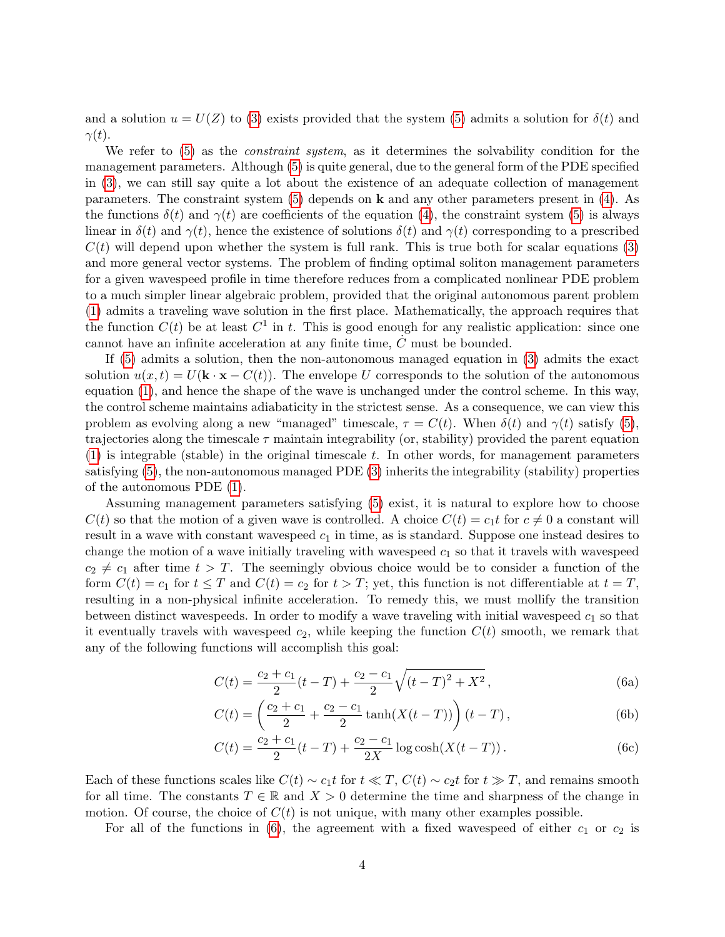and a solution  $u = U(Z)$  to [\(3\)](#page-2-2) exists provided that the system [\(5\)](#page-2-3) admits a solution for  $\delta(t)$  and  $\gamma(t)$ .

We refer to [\(5\)](#page-2-3) as the *constraint system*, as it determines the solvability condition for the management parameters. Although [\(5\)](#page-2-3) is quite general, due to the general form of the PDE specified in [\(3\)](#page-2-2), we can still say quite a lot about the existence of an adequate collection of management parameters. The constraint system [\(5\)](#page-2-3) depends on k and any other parameters present in [\(4\)](#page-2-4). As the functions  $\delta(t)$  and  $\gamma(t)$  are coefficients of the equation [\(4\)](#page-2-4), the constraint system [\(5\)](#page-2-3) is always linear in  $\delta(t)$  and  $\gamma(t)$ , hence the existence of solutions  $\delta(t)$  and  $\gamma(t)$  corresponding to a prescribed  $C(t)$  will depend upon whether the system is full rank. This is true both for scalar equations [\(3\)](#page-2-2) and more general vector systems. The problem of finding optimal soliton management parameters for a given wavespeed profile in time therefore reduces from a complicated nonlinear PDE problem to a much simpler linear algebraic problem, provided that the original autonomous parent problem [\(1\)](#page-2-0) admits a traveling wave solution in the first place. Mathematically, the approach requires that the function  $C(t)$  be at least  $C^1$  in t. This is good enough for any realistic application: since one cannot have an infinite acceleration at any finite time,  $\dot{C}$  must be bounded.

If [\(5\)](#page-2-3) admits a solution, then the non-autonomous managed equation in [\(3\)](#page-2-2) admits the exact solution  $u(x,t) = U(\mathbf{k} \cdot \mathbf{x} - C(t))$ . The envelope U corresponds to the solution of the autonomous equation [\(1\)](#page-2-0), and hence the shape of the wave is unchanged under the control scheme. In this way, the control scheme maintains adiabaticity in the strictest sense. As a consequence, we can view this problem as evolving along a new "managed" timescale,  $\tau = C(t)$ . When  $\delta(t)$  and  $\gamma(t)$  satisfy [\(5\)](#page-2-3), trajectories along the timescale  $\tau$  maintain integrability (or, stability) provided the parent equation  $(1)$  is integrable (stable) in the original timescale t. In other words, for management parameters satisfying [\(5\)](#page-2-3), the non-autonomous managed PDE [\(3\)](#page-2-2) inherits the integrability (stability) properties of the autonomous PDE [\(1\)](#page-2-0).

Assuming management parameters satisfying [\(5\)](#page-2-3) exist, it is natural to explore how to choose  $C(t)$  so that the motion of a given wave is controlled. A choice  $C(t) = c_1 t$  for  $c \neq 0$  a constant will result in a wave with constant wavespeed  $c_1$  in time, as is standard. Suppose one instead desires to change the motion of a wave initially traveling with wavespeed  $c_1$  so that it travels with wavespeed  $c_2 \neq c_1$  after time  $t > T$ . The seemingly obvious choice would be to consider a function of the form  $C(t) = c_1$  for  $t \leq T$  and  $C(t) = c_2$  for  $t > T$ ; yet, this function is not differentiable at  $t = T$ , resulting in a non-physical infinite acceleration. To remedy this, we must mollify the transition between distinct wavespeeds. In order to modify a wave traveling with initial wavespeed  $c_1$  so that it eventually travels with wavespeed  $c_2$ , while keeping the function  $C(t)$  smooth, we remark that any of the following functions will accomplish this goal:

<span id="page-3-0"></span>
$$
C(t) = \frac{c_2 + c_1}{2}(t - T) + \frac{c_2 - c_1}{2}\sqrt{(t - T)^2 + X^2},
$$
\n(6a)

$$
C(t) = \left(\frac{c_2 + c_1}{2} + \frac{c_2 - c_1}{2} \tanh(X(t - T))\right)(t - T),\tag{6b}
$$

$$
C(t) = \frac{c_2 + c_1}{2}(t - T) + \frac{c_2 - c_1}{2X} \log \cosh(X(t - T)).
$$
 (6c)

Each of these functions scales like  $C(t) \sim c_1 t$  for  $t \ll T$ ,  $C(t) \sim c_2 t$  for  $t \gg T$ , and remains smooth for all time. The constants  $T \in \mathbb{R}$  and  $X > 0$  determine the time and sharpness of the change in motion. Of course, the choice of  $C(t)$  is not unique, with many other examples possible.

For all of the functions in [\(6\)](#page-3-0), the agreement with a fixed wavespeed of either  $c_1$  or  $c_2$  is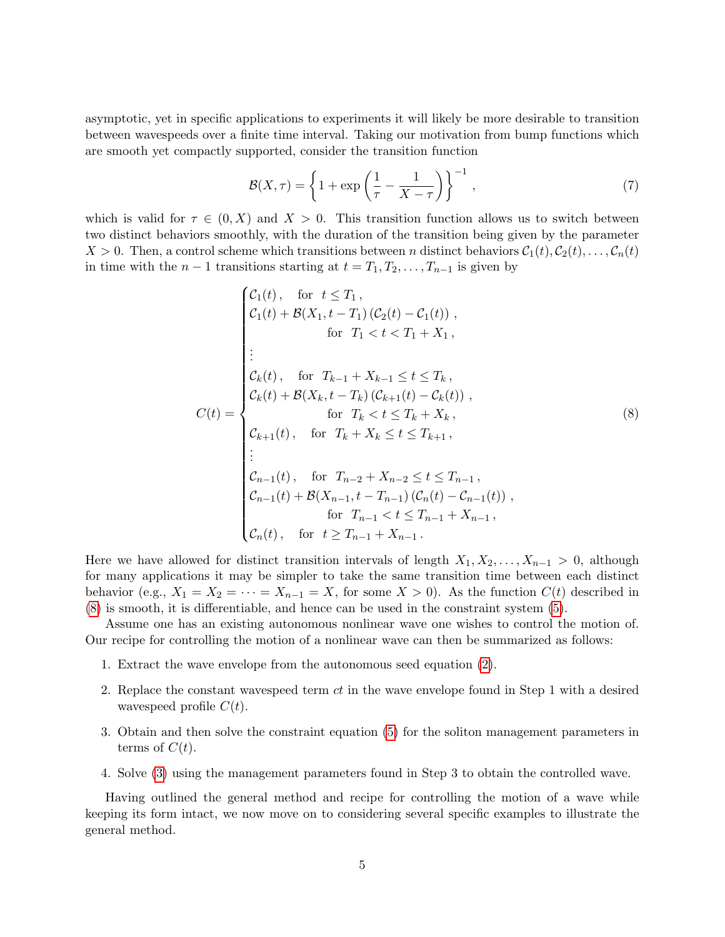asymptotic, yet in specific applications to experiments it will likely be more desirable to transition between wavespeeds over a finite time interval. Taking our motivation from bump functions which are smooth yet compactly supported, consider the transition function

$$
\mathcal{B}(X,\tau) = \left\{1 + \exp\left(\frac{1}{\tau} - \frac{1}{X-\tau}\right)\right\}^{-1},\tag{7}
$$

which is valid for  $\tau \in (0, X)$  and  $X > 0$ . This transition function allows us to switch between two distinct behaviors smoothly, with the duration of the transition being given by the parameter  $X > 0$ . Then, a control scheme which transitions between n distinct behaviors  $C_1(t), C_2(t), \ldots, C_n(t)$ in time with the  $n-1$  transitions starting at  $t = T_1, T_2, \ldots, T_{n-1}$  is given by

<span id="page-4-0"></span>
$$
C_1(t), \text{ for } t \leq T_1,
$$
  
\n
$$
C_1(t) + \mathcal{B}(X_1, t - T_1) (C_2(t) - C_1(t)),
$$
  
\nfor  $T_1 < t < T_1 + X_1,$   
\n
$$
\vdots
$$
  
\n
$$
C_k(t), \text{ for } T_{k-1} + X_{k-1} \leq t \leq T_k,
$$
  
\n
$$
C(t) = \begin{cases} \nC_k(t), & \text{for } T_{k-1} + X_{k-1} \leq t \leq T_k, \\ \nC_k(t) + \mathcal{B}(X_k, t - T_k) (C_{k+1}(t) - C_k(t)), \\ \n\text{for } T_k < t \leq T_k + X_k, \\ \nC_{k+1}(t), & \text{for } T_k + X_k \leq t \leq T_{k+1}, \\ \n\vdots \\ \nC_{n-1}(t), & \text{for } T_{n-2} + X_{n-2} \leq t \leq T_{n-1}, \\ \nC_{n-1}(t) + \mathcal{B}(X_{n-1}, t - T_{n-1}) (C_n(t) - C_{n-1}(t)), \\ \n\text{for } T_{n-1} < t \leq T_{n-1} + X_{n-1}, \\ \nC_n(t), & \text{for } t \geq T_{n-1} + X_{n-1}. \n\end{cases} \tag{8}
$$

Here we have allowed for distinct transition intervals of length  $X_1, X_2, \ldots, X_{n-1} > 0$ , although for many applications it may be simpler to take the same transition time between each distinct behavior (e.g.,  $X_1 = X_2 = \cdots = X_{n-1} = X$ , for some  $X > 0$ ). As the function  $C(t)$  described in [\(8\)](#page-4-0) is smooth, it is differentiable, and hence can be used in the constraint system [\(5\)](#page-2-3).

Assume one has an existing autonomous nonlinear wave one wishes to control the motion of. Our recipe for controlling the motion of a nonlinear wave can then be summarized as follows:

- 1. Extract the wave envelope from the autonomous seed equation [\(2\)](#page-2-1).
- 2. Replace the constant wavespeed term ct in the wave envelope found in Step 1 with a desired wavespeed profile  $C(t)$ .
- 3. Obtain and then solve the constraint equation [\(5\)](#page-2-3) for the soliton management parameters in terms of  $C(t)$ .
- 4. Solve [\(3\)](#page-2-2) using the management parameters found in Step 3 to obtain the controlled wave.

Having outlined the general method and recipe for controlling the motion of a wave while keeping its form intact, we now move on to considering several specific examples to illustrate the general method.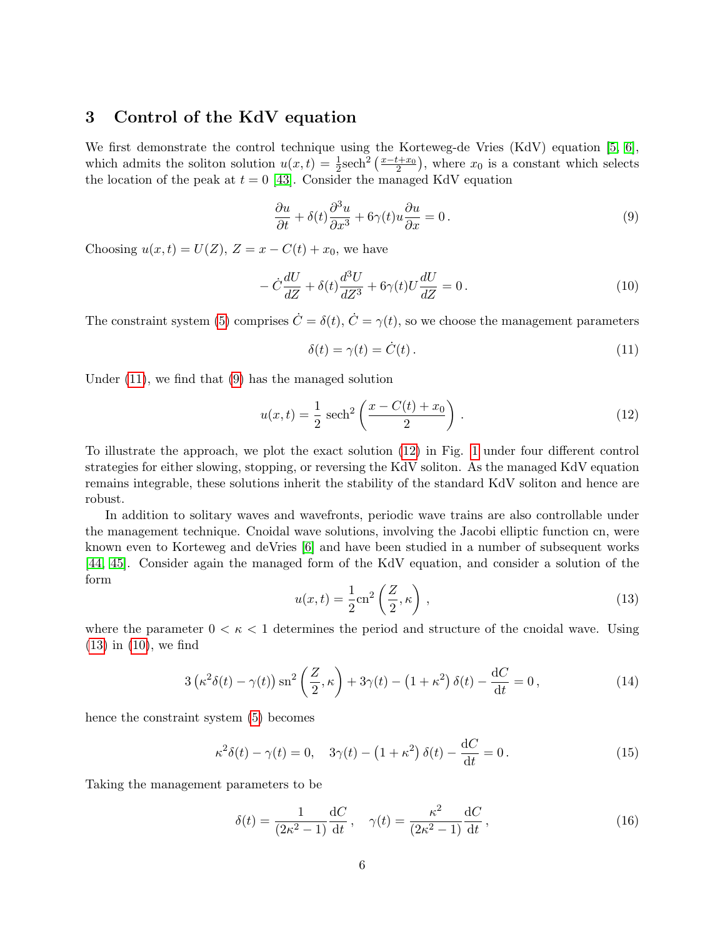# 3 Control of the KdV equation

We first demonstrate the control technique using the Korteweg-de Vries (KdV) equation [\[5,](#page-18-3) [6\]](#page-18-4), which admits the soliton solution  $u(x,t) = \frac{1}{2}$ sech<sup>2</sup>  $\left(\frac{x-t+x_0}{2}\right)$ , where  $x_0$  is a constant which selects the location of the peak at  $t = 0$  [\[43\]](#page-20-9). Consider the managed KdV equation

<span id="page-5-1"></span>
$$
\frac{\partial u}{\partial t} + \delta(t) \frac{\partial^3 u}{\partial x^3} + 6\gamma(t)u \frac{\partial u}{\partial x} = 0.
$$
\n(9)

Choosing  $u(x, t) = U(Z)$ ,  $Z = x - C(t) + x_0$ , we have

<span id="page-5-4"></span>
$$
-\dot{C}\frac{dU}{dZ} + \delta(t)\frac{d^3U}{dZ^3} + 6\gamma(t)U\frac{dU}{dZ} = 0.
$$
\n(10)

The constraint system [\(5\)](#page-2-3) comprises  $\dot{C} = \delta(t)$ ,  $\dot{C} = \gamma(t)$ , so we choose the management parameters

<span id="page-5-0"></span>
$$
\delta(t) = \gamma(t) = \dot{C}(t). \tag{11}
$$

Under [\(11\)](#page-5-0), we find that [\(9\)](#page-5-1) has the managed solution

<span id="page-5-2"></span>
$$
u(x,t) = \frac{1}{2} \text{ sech}^2 \left( \frac{x - C(t) + x_0}{2} \right).
$$
 (12)

To illustrate the approach, we plot the exact solution [\(12\)](#page-5-2) in Fig. [1](#page-6-0) under four different control strategies for either slowing, stopping, or reversing the KdV soliton. As the managed KdV equation remains integrable, these solutions inherit the stability of the standard KdV soliton and hence are robust.

In addition to solitary waves and wavefronts, periodic wave trains are also controllable under the management technique. Cnoidal wave solutions, involving the Jacobi elliptic function cn, were known even to Korteweg and deVries [\[6\]](#page-18-4) and have been studied in a number of subsequent works [\[44,](#page-20-10) [45\]](#page-20-11). Consider again the managed form of the KdV equation, and consider a solution of the form

<span id="page-5-3"></span>
$$
u(x,t) = \frac{1}{2} \text{cn}^2 \left(\frac{Z}{2}, \kappa\right),\tag{13}
$$

where the parameter  $0 < \kappa < 1$  determines the period and structure of the cnoidal wave. Using [\(13\)](#page-5-3) in [\(10\)](#page-5-4), we find

$$
3\left(\kappa^2\delta(t) - \gamma(t)\right)\operatorname{sn}^2\left(\frac{Z}{2}, \kappa\right) + 3\gamma(t) - \left(1 + \kappa^2\right)\delta(t) - \frac{\mathrm{d}C}{\mathrm{d}t} = 0\,,\tag{14}
$$

hence the constraint system [\(5\)](#page-2-3) becomes

$$
\kappa^2 \delta(t) - \gamma(t) = 0, \quad 3\gamma(t) - \left(1 + \kappa^2\right)\delta(t) - \frac{\mathrm{d}C}{\mathrm{d}t} = 0. \tag{15}
$$

Taking the management parameters to be

<span id="page-5-5"></span>
$$
\delta(t) = \frac{1}{(2\kappa^2 - 1)} \frac{\mathrm{d}C}{\mathrm{d}t}, \quad \gamma(t) = \frac{\kappa^2}{(2\kappa^2 - 1)} \frac{\mathrm{d}C}{\mathrm{d}t},\tag{16}
$$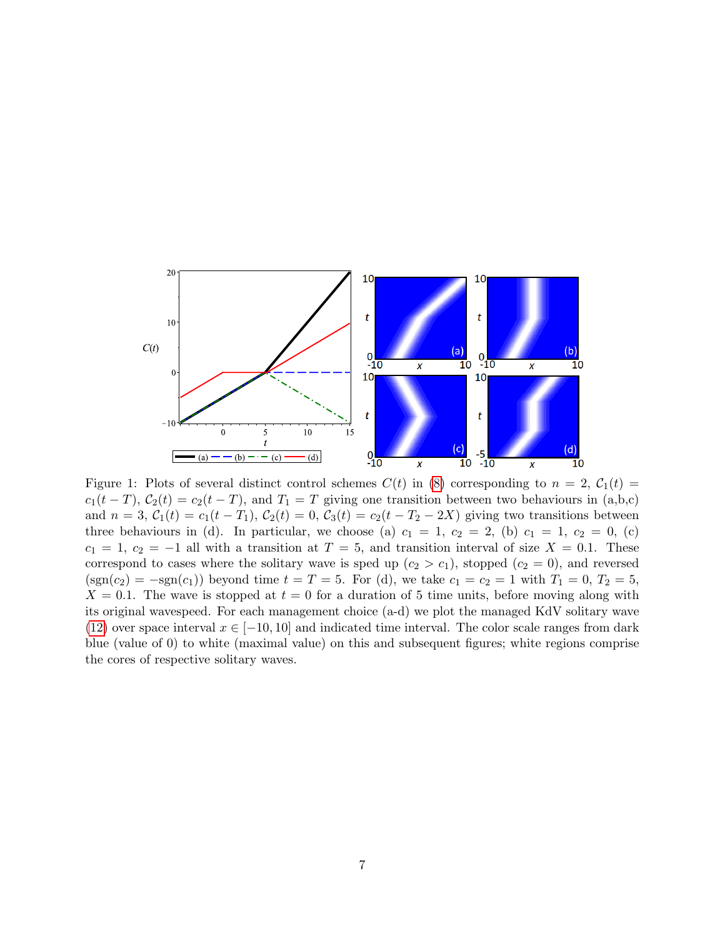

<span id="page-6-0"></span> $c_1(t-T)$ ,  $C_2(t) = c_2(t-T)$ , and  $T_1 = T$  giving one transition between two behaviours in (a,b,c) and  $n = 3$ ,  $C_1(t) = c_1(t - T_1)$ ,  $C_2(t) = 0$ ,  $C_3(t) = c_2(t - T_2 - 2X)$  giving two transitions between three behaviours in (d). In particular, we choose (a)  $c_1 = 1$ ,  $c_2 = 2$ , (b)  $c_1 = 1$ ,  $c_2 = 0$ , (c)  $c_1 = 1, c_2 = -1$  all with a transition at  $T = 5$ , and transition interval of size  $X = 0.1$ . These correspond to cases where the solitary wave is sped up  $(c_2 > c_1)$ , stopped  $(c_2 = 0)$ , and reversed  $(\text{sgn}(c_2) = -\text{sgn}(c_1))$  beyond time  $t = T = 5$ . For (d), we take  $c_1 = c_2 = 1$  with  $T_1 = 0, T_2 = 5$ ,  $X = 0.1$ . The wave is stopped at  $t = 0$  for a duration of 5 time units, before moving along with its original wavespeed. For each management choice (a-d) we plot the managed KdV solitary wave [\(12\)](#page-5-2) over space interval  $x \in [-10, 10]$  and indicated time interval. The color scale ranges from dark blue (value of 0) to white (maximal value) on this and subsequent figures; white regions comprise the cores of respective solitary waves.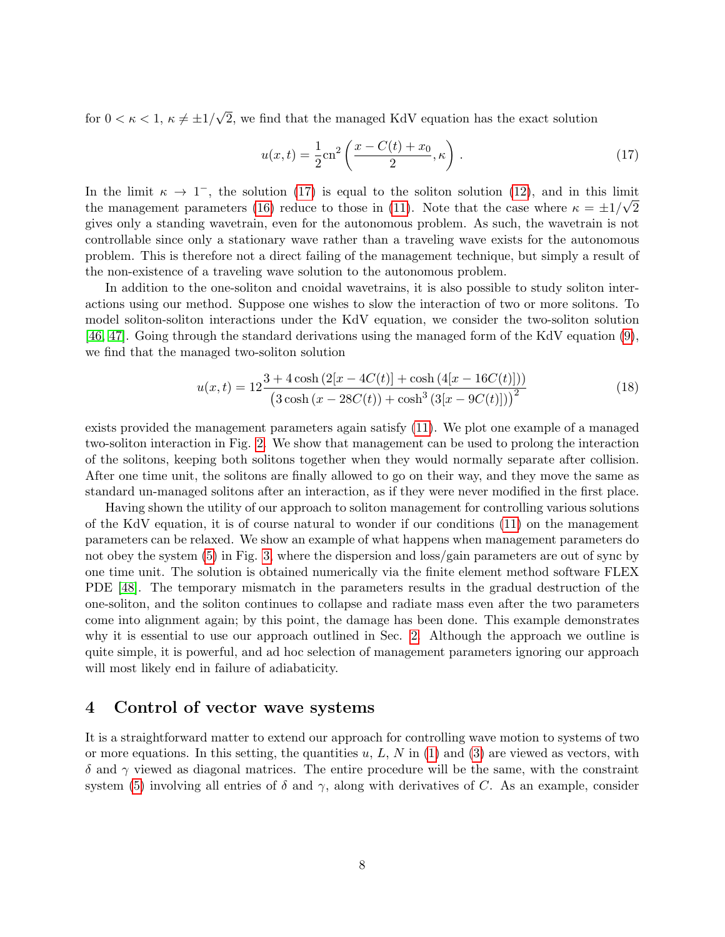for  $0 < \kappa < 1, \kappa \neq \pm 1/$ √ 2, we find that the managed KdV equation has the exact solution

<span id="page-7-0"></span>
$$
u(x,t) = \frac{1}{2}cn^2 \left( \frac{x - C(t) + x_0}{2}, \kappa \right).
$$
 (17)

In the limit  $\kappa \to 1^-$ , the solution [\(17\)](#page-7-0) is equal to the soliton solution [\(12\)](#page-5-2), and in this limit the management parameters [\(16\)](#page-5-5) reduce to those in [\(11\)](#page-5-0). Note that the case where  $\kappa = \pm 1/\sqrt{2}$ gives only a standing wavetrain, even for the autonomous problem. As such, the wavetrain is not controllable since only a stationary wave rather than a traveling wave exists for the autonomous problem. This is therefore not a direct failing of the management technique, but simply a result of the non-existence of a traveling wave solution to the autonomous problem.

In addition to the one-soliton and cnoidal wavetrains, it is also possible to study soliton interactions using our method. Suppose one wishes to slow the interaction of two or more solitons. To model soliton-soliton interactions under the KdV equation, we consider the two-soliton solution [\[46,](#page-20-12) [47\]](#page-20-13). Going through the standard derivations using the managed form of the KdV equation [\(9\)](#page-5-1), we find that the managed two-soliton solution

$$
u(x,t) = 12 \frac{3 + 4\cosh\left(2[x - 4C(t)] + \cosh\left(4[x - 16C(t)]\right)\right)}{\left(3\cosh\left(x - 28C(t)\right) + \cosh^3\left(3[x - 9C(t)]\right)\right)^2}
$$
(18)

exists provided the management parameters again satisfy [\(11\)](#page-5-0). We plot one example of a managed two-soliton interaction in Fig. [2.](#page-8-0) We show that management can be used to prolong the interaction of the solitons, keeping both solitons together when they would normally separate after collision. After one time unit, the solitons are finally allowed to go on their way, and they move the same as standard un-managed solitons after an interaction, as if they were never modified in the first place.

Having shown the utility of our approach to soliton management for controlling various solutions of the KdV equation, it is of course natural to wonder if our conditions [\(11\)](#page-5-0) on the management parameters can be relaxed. We show an example of what happens when management parameters do not obey the system [\(5\)](#page-2-3) in Fig. [3,](#page-9-0) where the dispersion and loss/gain parameters are out of sync by one time unit. The solution is obtained numerically via the finite element method software FLEX PDE [\[48\]](#page-20-14). The temporary mismatch in the parameters results in the gradual destruction of the one-soliton, and the soliton continues to collapse and radiate mass even after the two parameters come into alignment again; by this point, the damage has been done. This example demonstrates why it is essential to use our approach outlined in Sec. [2.](#page-2-5) Although the approach we outline is quite simple, it is powerful, and ad hoc selection of management parameters ignoring our approach will most likely end in failure of adiabaticity.

#### 4 Control of vector wave systems

It is a straightforward matter to extend our approach for controlling wave motion to systems of two or more equations. In this setting, the quantities  $u, L, N$  in [\(1\)](#page-2-0) and [\(3\)](#page-2-2) are viewed as vectors, with  $\delta$  and  $\gamma$  viewed as diagonal matrices. The entire procedure will be the same, with the constraint system [\(5\)](#page-2-3) involving all entries of  $\delta$  and  $\gamma$ , along with derivatives of C. As an example, consider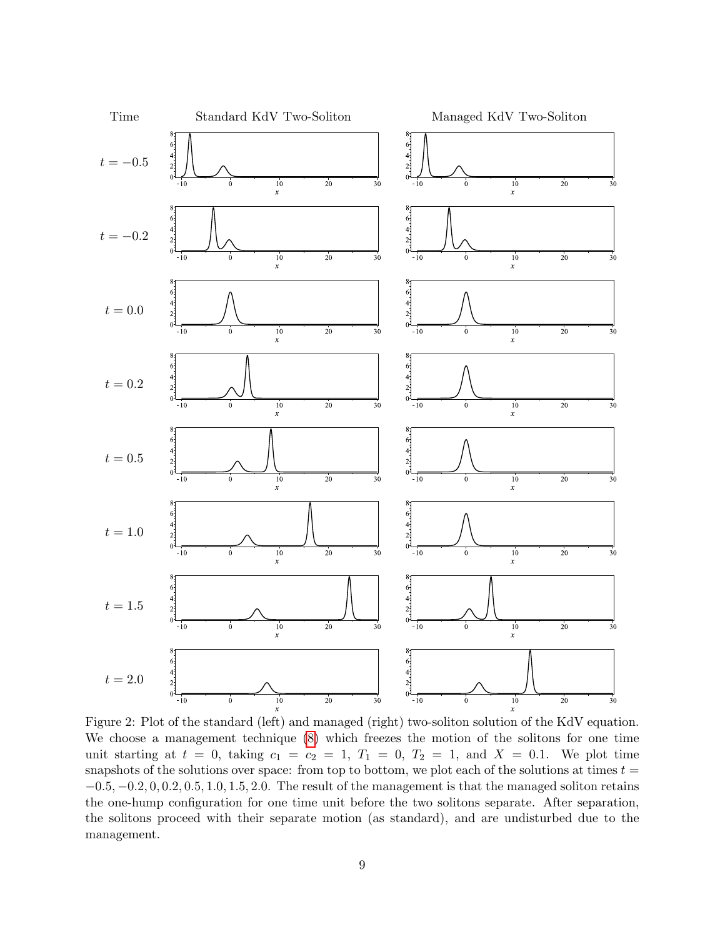

<span id="page-8-0"></span>Figure 2: Plot of the standard (left) and managed (right) two-soliton solution of the KdV equation. We choose a management technique [\(8\)](#page-4-0) which freezes the motion of the solitons for one time unit starting at  $t = 0$ , taking  $c_1 = c_2 = 1$ ,  $T_1 = 0$ ,  $T_2 = 1$ , and  $X = 0.1$ . We plot time snapshots of the solutions over space: from top to bottom, we plot each of the solutions at times  $t =$  $-0.5, -0.2, 0, 0.2, 0.5, 1.0, 1.5, 2.0$ . The result of the management is that the managed soliton retains the one-hump configuration for one time unit before the two solitons separate. After separation, the solitons proceed with their separate motion (as standard), and are undisturbed due to the management.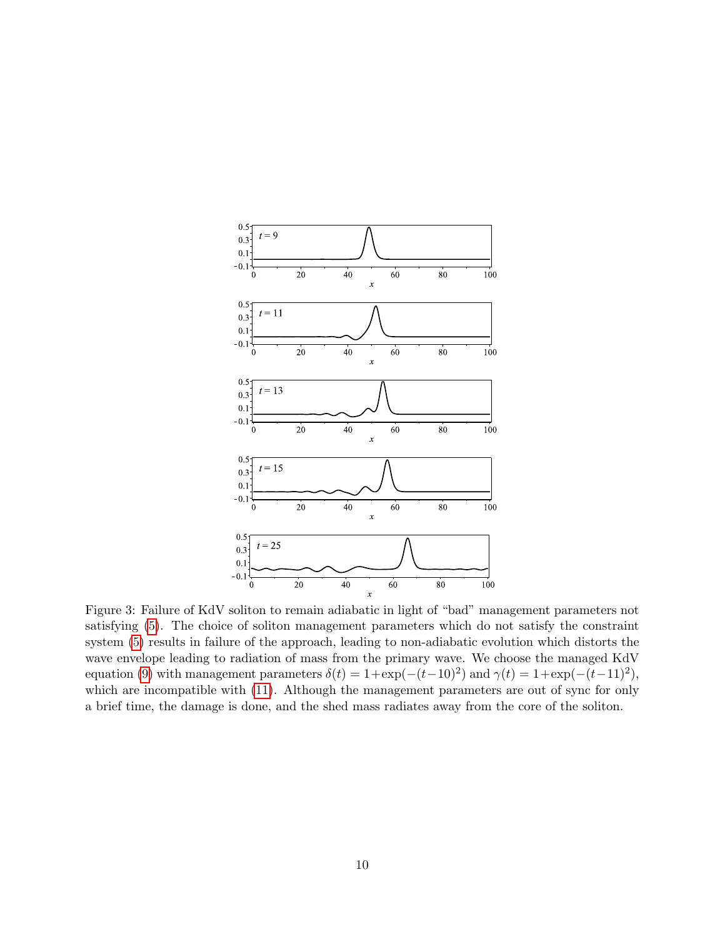

<span id="page-9-0"></span>Figure 3: Failure of KdV soliton to remain adiabatic in light of "bad" management parameters not satisfying [\(5\)](#page-2-3). The choice of soliton management parameters which do not satisfy the constraint system [\(5\)](#page-2-3) results in failure of the approach, leading to non-adiabatic evolution which distorts the wave envelope leading to radiation of mass from the primary wave. We choose the managed KdV equation [\(9\)](#page-5-1) with management parameters  $\delta(t) = 1 + \exp(-(t-10)^2)$  and  $\gamma(t) = 1 + \exp(-(t-11)^2)$ , which are incompatible with  $(11)$ . Although the management parameters are out of sync for only a brief time, the damage is done, and the shed mass radiates away from the core of the soliton.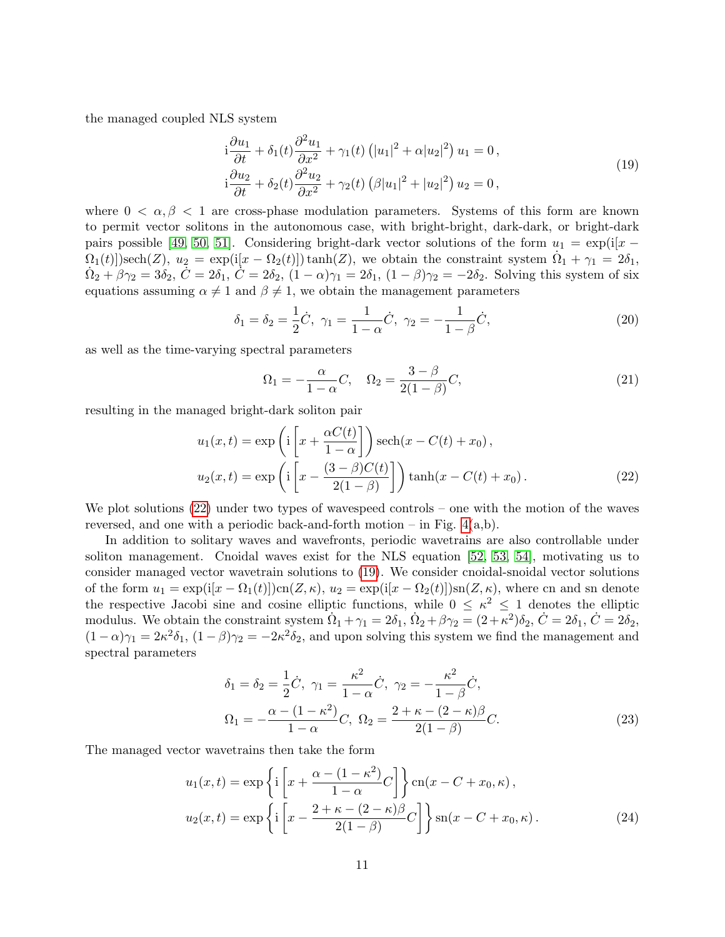the managed coupled NLS system

<span id="page-10-1"></span>
$$
i\frac{\partial u_1}{\partial t} + \delta_1(t)\frac{\partial^2 u_1}{\partial x^2} + \gamma_1(t)\left(|u_1|^2 + \alpha |u_2|^2\right)u_1 = 0,
$$
  
\n
$$
i\frac{\partial u_2}{\partial t} + \delta_2(t)\frac{\partial^2 u_2}{\partial x^2} + \gamma_2(t)\left(\beta |u_1|^2 + |u_2|^2\right)u_2 = 0,
$$
\n(19)

where  $0 < \alpha, \beta < 1$  are cross-phase modulation parameters. Systems of this form are known to permit vector solitons in the autonomous case, with bright-bright, dark-dark, or bright-dark pairs possible [\[49,](#page-20-15) [50,](#page-20-16) [51\]](#page-20-17). Considering bright-dark vector solutions of the form  $u_1 = \exp(i[x \Omega_1(t)$ )sech $(Z)$ ,  $u_2 = \exp(i[x - \Omega_2(t)]) \tanh(Z)$ , we obtain the constraint system  $\dot{\Omega}_1 + \gamma_1 = 2\delta_1$ ,  $\dot{\Omega}_2 + \beta \gamma_2 = 3\delta_2, \ \dot{C} = 2\delta_1, \ \dot{\dot{C}} = 2\delta_2, \ (1 - \alpha)\gamma_1 = 2\delta_1, \ (1 - \beta)\gamma_2 = -2\delta_2.$  Solving this system of six equations assuming  $\alpha \neq 1$  and  $\beta \neq 1$ , we obtain the management parameters

$$
\delta_1 = \delta_2 = \frac{1}{2}\dot{C}, \ \gamma_1 = \frac{1}{1-\alpha}\dot{C}, \ \gamma_2 = -\frac{1}{1-\beta}\dot{C}, \tag{20}
$$

as well as the time-varying spectral parameters

<span id="page-10-0"></span>
$$
\Omega_1 = -\frac{\alpha}{1-\alpha}C, \quad \Omega_2 = \frac{3-\beta}{2(1-\beta)}C,\tag{21}
$$

resulting in the managed bright-dark soliton pair

$$
u_1(x,t) = \exp\left(i\left[x + \frac{\alpha C(t)}{1-\alpha}\right]\right) \operatorname{sech}(x - C(t) + x_0),
$$
  

$$
u_2(x,t) = \exp\left(i\left[x - \frac{(3-\beta)C(t)}{2(1-\beta)}\right]\right) \tanh(x - C(t) + x_0).
$$
 (22)

We plot solutions [\(22\)](#page-10-0) under two types of wavespeed controls – one with the motion of the waves reversed, and one with a periodic back-and-forth motion – in Fig.  $4(a,b)$ .

In addition to solitary waves and wavefronts, periodic wavetrains are also controllable under soliton management. Cnoidal waves exist for the NLS equation [\[52,](#page-21-0) [53,](#page-21-1) [54\]](#page-21-2), motivating us to consider managed vector wavetrain solutions to [\(19\)](#page-10-1). We consider cnoidal-snoidal vector solutions of the form  $u_1 = \exp(i[x - \Omega_1(t)])\operatorname{cn}(Z, \kappa), u_2 = \exp(i[x - \Omega_2(t)])\operatorname{sn}(Z, \kappa),$  where cn and sn denote the respective Jacobi sine and cosine elliptic functions, while  $0 \leq \kappa^2 \leq 1$  denotes the elliptic modulus. We obtain the constraint system  $\dot{\Omega}_1 + \gamma_1 = 2\delta_1$ ,  $\dot{\Omega}_2 + \beta\gamma_2 = (2 + \kappa^2)\delta_2$ ,  $\dot{C} = 2\delta_1$ ,  $\dot{C} = 2\delta_2$ ,  $(1-\alpha)\gamma_1 = 2\kappa^2\delta_1$ ,  $(1-\beta)\gamma_2 = -2\kappa^2\delta_2$ , and upon solving this system we find the management and spectral parameters

<span id="page-10-2"></span>
$$
\delta_1 = \delta_2 = \frac{1}{2}\dot{C}, \ \gamma_1 = \frac{\kappa^2}{1 - \alpha}\dot{C}, \ \gamma_2 = -\frac{\kappa^2}{1 - \beta}\dot{C}, \n\Omega_1 = -\frac{\alpha - (1 - \kappa^2)}{1 - \alpha}C, \ \Omega_2 = \frac{2 + \kappa - (2 - \kappa)\beta}{2(1 - \beta)}C.
$$
\n(23)

The managed vector wavetrains then take the form

$$
u_1(x,t) = \exp\left\{i\left[x + \frac{\alpha - (1 - \kappa^2)}{1 - \alpha}C\right]\right\} \operatorname{cn}(x - C + x_0, \kappa),
$$
  

$$
u_2(x,t) = \exp\left\{i\left[x - \frac{2 + \kappa - (2 - \kappa)\beta}{2(1 - \beta)}C\right]\right\} \operatorname{sn}(x - C + x_0, \kappa).
$$
 (24)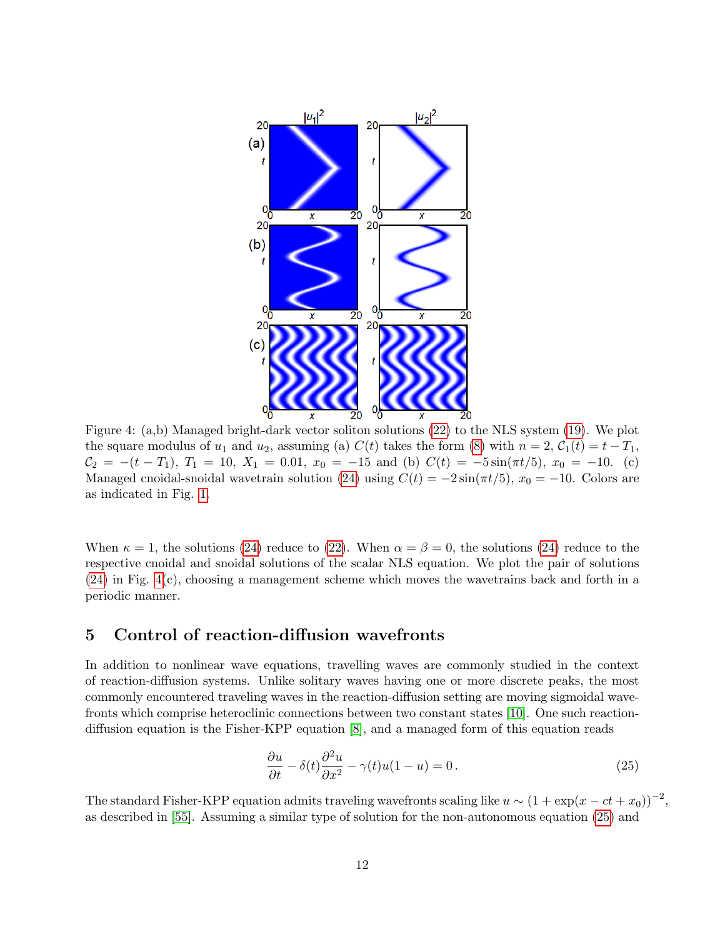

<span id="page-11-0"></span>Figure 4: (a,b) Managed bright-dark vector soliton solutions [\(22\)](#page-10-0) to the NLS system [\(19\)](#page-10-1). We plot the square modulus of  $u_1$  and  $u_2$ , assuming (a)  $C(t)$  takes the form [\(8\)](#page-4-0) with  $n = 2$ ,  $C_1(t) = t - T_1$ ,  $C_2 = -(t - T_1), T_1 = 10, X_1 = 0.01, x_0 = -15$  and (b)  $C(t) = -5 \sin(\pi t/5), x_0 = -10$ . (c) Managed cnoidal-snoidal wavetrain solution [\(24\)](#page-10-2) using  $C(t) = -2\sin(\pi t/5)$ ,  $x_0 = -10$ . Colors are as indicated in Fig. [1.](#page-6-0)

When  $\kappa = 1$ , the solutions [\(24\)](#page-10-2) reduce to [\(22\)](#page-10-0). When  $\alpha = \beta = 0$ , the solutions (24) reduce to the respective cnoidal and snoidal solutions of the scalar NLS equation. We plot the pair of solutions [\(24\)](#page-10-2) in Fig. [4\(](#page-11-0)c), choosing a management scheme which moves the wavetrains back and forth in a periodic manner.

# 5 Control of reaction-diffusion wavefronts

In addition to nonlinear wave equations, travelling waves are commonly studied in the context of reaction-diffusion systems. Unlike solitary waves having one or more discrete peaks, the most commonly encountered traveling waves in the reaction-diffusion setting are moving sigmoidal wavefronts which comprise heteroclinic connections between two constant states [\[10\]](#page-18-8). One such reactiondiffusion equation is the Fisher-KPP equation [\[8\]](#page-18-6), and a managed form of this equation reads

<span id="page-11-1"></span>
$$
\frac{\partial u}{\partial t} - \delta(t) \frac{\partial^2 u}{\partial x^2} - \gamma(t)u(1-u) = 0.
$$
\n(25)

The standard Fisher-KPP equation admits traveling wavefronts scaling like  $u \sim (1 + \exp(x - ct + x_0))^{-2}$ , as described in [\[55\]](#page-21-3). Assuming a similar type of solution for the non-autonomous equation [\(25\)](#page-11-1) and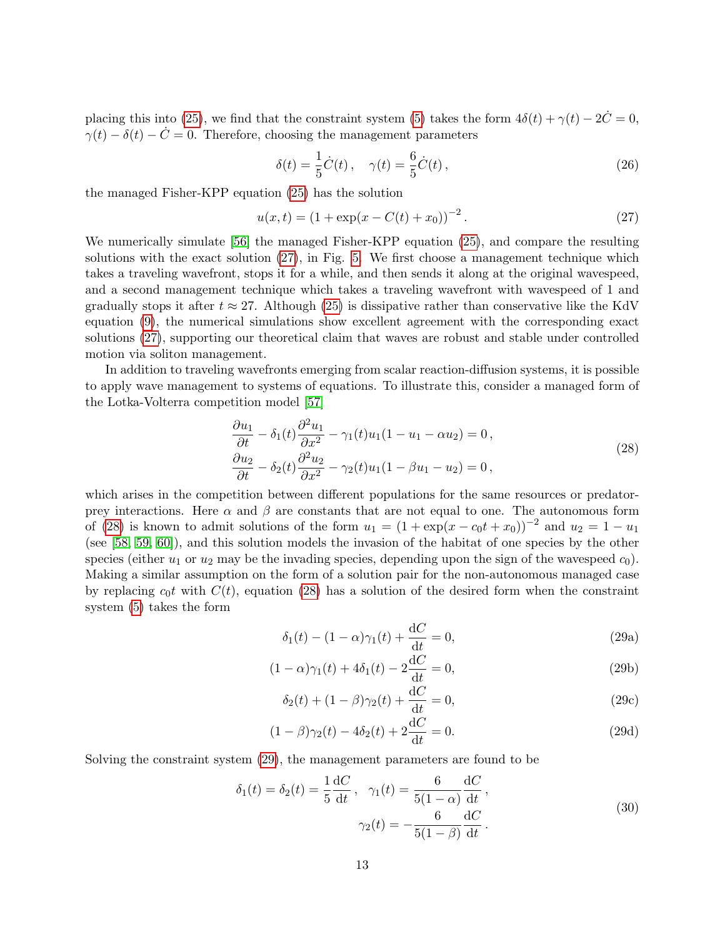placing this into [\(25\)](#page-11-1), we find that the constraint system [\(5\)](#page-2-3) takes the form  $4\delta(t) + \gamma(t) - 2\dot{C} = 0$ ,  $\gamma(t) - \delta(t) - C = 0$ . Therefore, choosing the management parameters

<span id="page-12-3"></span>
$$
\delta(t) = \frac{1}{5}\dot{C}(t), \quad \gamma(t) = \frac{6}{5}\dot{C}(t), \tag{26}
$$

the managed Fisher-KPP equation [\(25\)](#page-11-1) has the solution

<span id="page-12-0"></span>
$$
u(x,t) = (1 + \exp(x - C(t) + x_0))^{-2}.
$$
 (27)

We numerically simulate [\[56\]](#page-21-4) the managed Fisher-KPP equation [\(25\)](#page-11-1), and compare the resulting solutions with the exact solution [\(27\)](#page-12-0), in Fig. [5.](#page-13-0) We first choose a management technique which takes a traveling wavefront, stops it for a while, and then sends it along at the original wavespeed, and a second management technique which takes a traveling wavefront with wavespeed of 1 and gradually stops it after  $t \approx 27$ . Although [\(25\)](#page-11-1) is dissipative rather than conservative like the KdV equation [\(9\)](#page-5-1), the numerical simulations show excellent agreement with the corresponding exact solutions [\(27\)](#page-12-0), supporting our theoretical claim that waves are robust and stable under controlled motion via soliton management.

In addition to traveling wavefronts emerging from scalar reaction-diffusion systems, it is possible to apply wave management to systems of equations. To illustrate this, consider a managed form of the Lotka-Volterra competition model [\[57\]](#page-21-5)

<span id="page-12-1"></span>
$$
\frac{\partial u_1}{\partial t} - \delta_1(t) \frac{\partial^2 u_1}{\partial x^2} - \gamma_1(t) u_1 (1 - u_1 - \alpha u_2) = 0,
$$
  
\n
$$
\frac{\partial u_2}{\partial t} - \delta_2(t) \frac{\partial^2 u_2}{\partial x^2} - \gamma_2(t) u_1 (1 - \beta u_1 - u_2) = 0,
$$
\n(28)

which arises in the competition between different populations for the same resources or predatorprey interactions. Here  $\alpha$  and  $\beta$  are constants that are not equal to one. The autonomous form of [\(28\)](#page-12-1) is known to admit solutions of the form  $u_1 = (1 + \exp(x - c_0 t + x_0))^{-2}$  and  $u_2 = 1 - u_1$ (see [\[58,](#page-21-6) [59,](#page-21-7) [60\]](#page-21-8)), and this solution models the invasion of the habitat of one species by the other species (either  $u_1$  or  $u_2$  may be the invading species, depending upon the sign of the wavespeed  $c_0$ ). Making a similar assumption on the form of a solution pair for the non-autonomous managed case by replacing  $c_0t$  with  $C(t)$ , equation [\(28\)](#page-12-1) has a solution of the desired form when the constraint system [\(5\)](#page-2-3) takes the form

<span id="page-12-2"></span>
$$
\delta_1(t) - (1 - \alpha)\gamma_1(t) + \frac{\mathrm{d}C}{\mathrm{d}t} = 0,\tag{29a}
$$

$$
(1 - \alpha)\gamma_1(t) + 4\delta_1(t) - 2\frac{\mathrm{d}C}{\mathrm{d}t} = 0,\tag{29b}
$$

$$
\delta_2(t) + (1 - \beta)\gamma_2(t) + \frac{dC}{dt} = 0,
$$
\n(29c)

$$
(1 - \beta)\gamma_2(t) - 4\delta_2(t) + 2\frac{\mathrm{d}C}{\mathrm{d}t} = 0.
$$
 (29d)

Solving the constraint system [\(29\)](#page-12-2), the management parameters are found to be

$$
\delta_1(t) = \delta_2(t) = \frac{1}{5} \frac{dC}{dt}, \quad \gamma_1(t) = \frac{6}{5(1-\alpha)} \frac{dC}{dt}, \n\gamma_2(t) = -\frac{6}{5(1-\beta)} \frac{dC}{dt}.
$$
\n(30)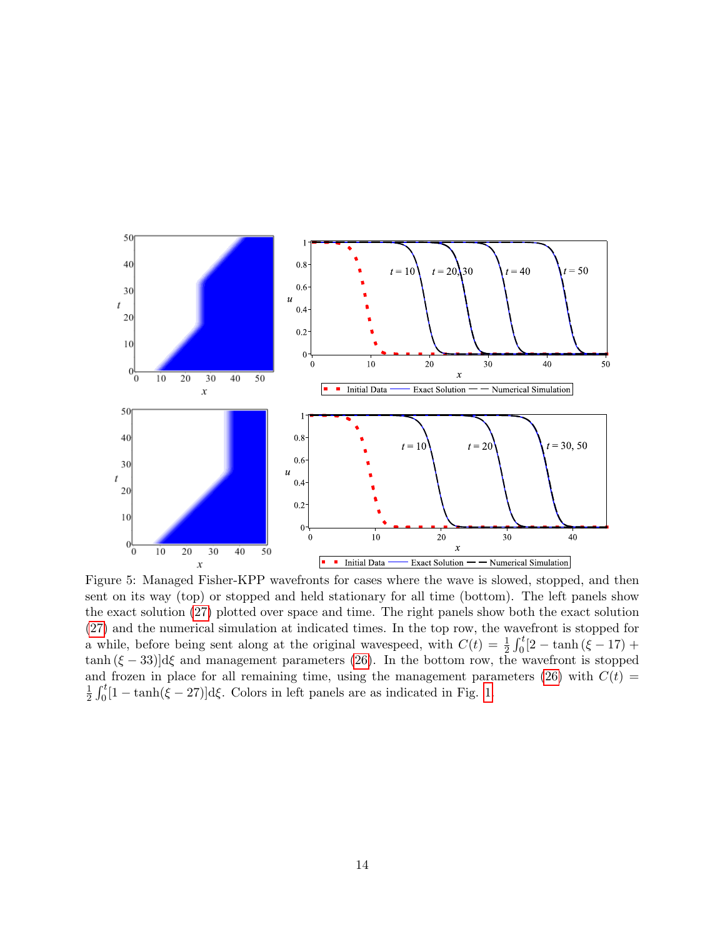

<span id="page-13-0"></span>Figure 5: Managed Fisher-KPP wavefronts for cases where the wave is slowed, stopped, and then sent on its way (top) or stopped and held stationary for all time (bottom). The left panels show the exact solution [\(27\)](#page-12-0) plotted over space and time. The right panels show both the exact solution [\(27\)](#page-12-0) and the numerical simulation at indicated times. In the top row, the wavefront is stopped for a while, before being sent along at the original wavespeed, with  $C(t) = \frac{1}{2} \int_0^t [2 - \tanh(\xi - 17) +$  $\tanh (\xi - 33) d\xi$  and management parameters [\(26\)](#page-12-3). In the bottom row, the wavefront is stopped and frozen in place for all remaining time, using the management parameters [\(26\)](#page-12-3) with  $C(t)$  = 1  $\frac{1}{2} \int_0^t [1 - \tanh(\xi - 27)] d\xi$ . Colors in left panels are as indicated in Fig. [1.](#page-6-0)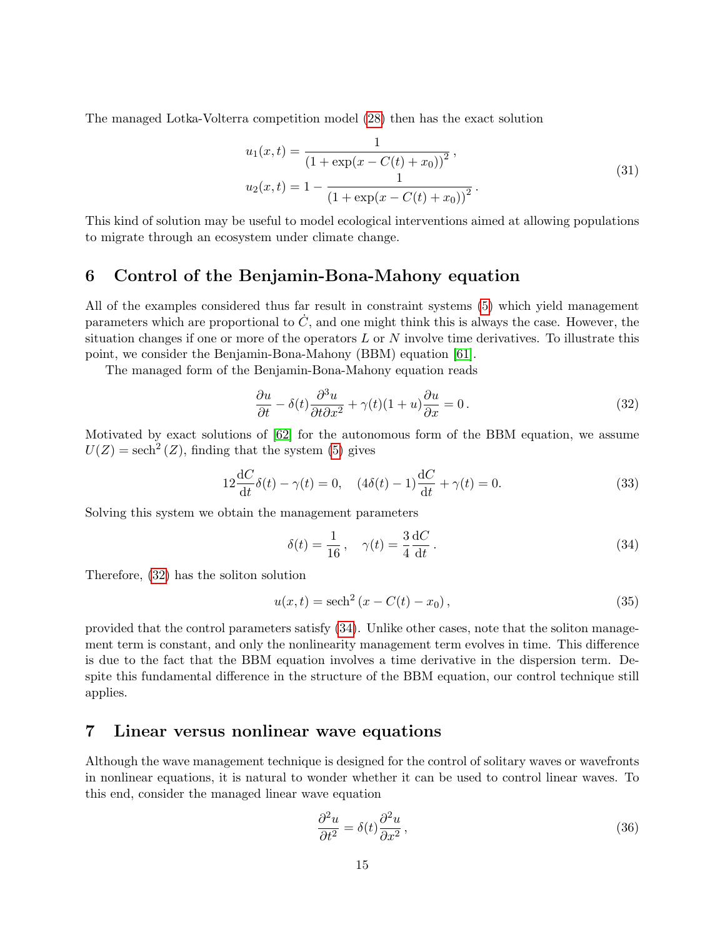The managed Lotka-Volterra competition model [\(28\)](#page-12-1) then has the exact solution

$$
u_1(x,t) = \frac{1}{(1 + \exp(x - C(t) + x_0))^2},
$$
  
\n
$$
u_2(x,t) = 1 - \frac{1}{(1 + \exp(x - C(t) + x_0))^2}.
$$
\n(31)

This kind of solution may be useful to model ecological interventions aimed at allowing populations to migrate through an ecosystem under climate change.

### 6 Control of the Benjamin-Bona-Mahony equation

All of the examples considered thus far result in constraint systems [\(5\)](#page-2-3) which yield management parameters which are proportional to  $\dot{C}$ , and one might think this is always the case. However, the situation changes if one or more of the operators  $L$  or  $N$  involve time derivatives. To illustrate this point, we consider the Benjamin-Bona-Mahony (BBM) equation [\[61\]](#page-21-9).

The managed form of the Benjamin-Bona-Mahony equation reads

<span id="page-14-0"></span>
$$
\frac{\partial u}{\partial t} - \delta(t) \frac{\partial^3 u}{\partial t \partial x^2} + \gamma(t)(1+u) \frac{\partial u}{\partial x} = 0.
$$
\n(32)

Motivated by exact solutions of [\[62\]](#page-21-10) for the autonomous form of the BBM equation, we assume  $U(Z) = \operatorname{sech}^{2}(Z)$ , finding that the system [\(5\)](#page-2-3) gives

$$
12\frac{dC}{dt}\delta(t) - \gamma(t) = 0, \quad (4\delta(t) - 1)\frac{dC}{dt} + \gamma(t) = 0.
$$
 (33)

Solving this system we obtain the management parameters

<span id="page-14-1"></span>
$$
\delta(t) = \frac{1}{16}, \quad \gamma(t) = \frac{3}{4} \frac{\mathrm{d}C}{\mathrm{d}t}.
$$
\n(34)

Therefore, [\(32\)](#page-14-0) has the soliton solution

$$
u(x,t) = sech2 (x - C(t) - x0),
$$
\n(35)

provided that the control parameters satisfy [\(34\)](#page-14-1). Unlike other cases, note that the soliton management term is constant, and only the nonlinearity management term evolves in time. This difference is due to the fact that the BBM equation involves a time derivative in the dispersion term. Despite this fundamental difference in the structure of the BBM equation, our control technique still applies.

#### <span id="page-14-3"></span>7 Linear versus nonlinear wave equations

Although the wave management technique is designed for the control of solitary waves or wavefronts in nonlinear equations, it is natural to wonder whether it can be used to control linear waves. To this end, consider the managed linear wave equation

<span id="page-14-2"></span>
$$
\frac{\partial^2 u}{\partial t^2} = \delta(t) \frac{\partial^2 u}{\partial x^2},\tag{36}
$$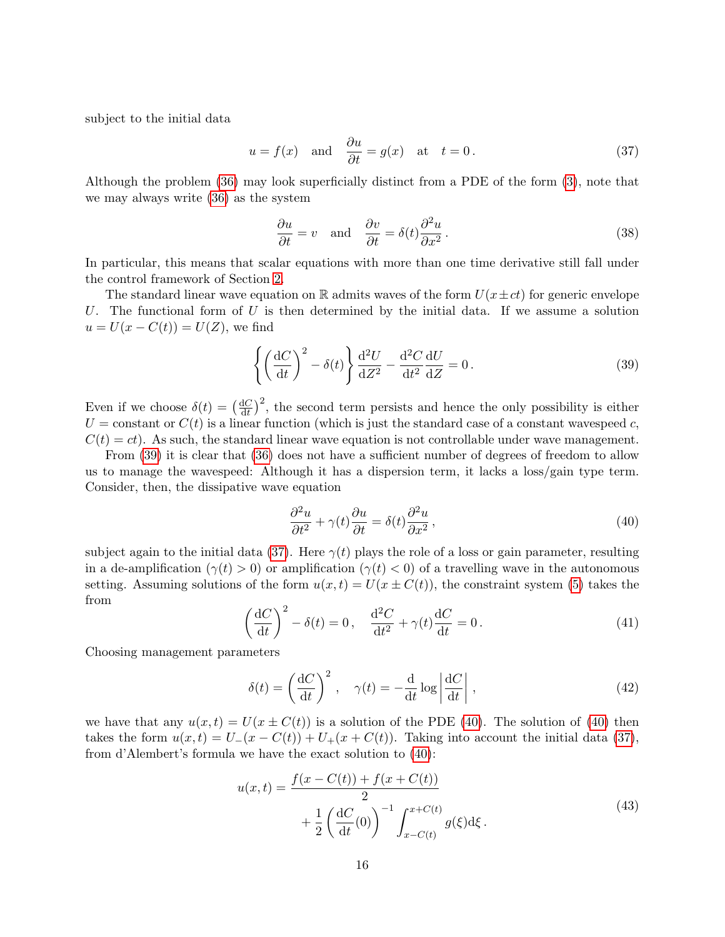subject to the initial data

<span id="page-15-1"></span>
$$
u = f(x)
$$
 and  $\frac{\partial u}{\partial t} = g(x)$  at  $t = 0$ . (37)

Although the problem [\(36\)](#page-14-2) may look superficially distinct from a PDE of the form [\(3\)](#page-2-2), note that we may always write [\(36\)](#page-14-2) as the system

$$
\frac{\partial u}{\partial t} = v \quad \text{and} \quad \frac{\partial v}{\partial t} = \delta(t) \frac{\partial^2 u}{\partial x^2}.
$$
 (38)

In particular, this means that scalar equations with more than one time derivative still fall under the control framework of Section [2.](#page-2-5)

The standard linear wave equation on R admits waves of the form  $U(x \pm ct)$  for generic envelope U. The functional form of U is then determined by the initial data. If we assume a solution  $u = U(x - C(t)) = U(Z)$ , we find

<span id="page-15-0"></span>
$$
\left\{ \left( \frac{\mathrm{d}C}{\mathrm{d}t} \right)^2 - \delta(t) \right\} \frac{\mathrm{d}^2 U}{\mathrm{d}Z^2} - \frac{\mathrm{d}^2 C}{\mathrm{d}t^2} \frac{\mathrm{d}U}{\mathrm{d}Z} = 0 \,. \tag{39}
$$

Even if we choose  $\delta(t) = \left(\frac{\mathrm{d}C}{\mathrm{d}t}\right)$  $\frac{dC}{dt}$ <sup>2</sup>, the second term persists and hence the only possibility is either  $U =$ constant or  $C(t)$  is a linear function (which is just the standard case of a constant wavespeed c,  $C(t) = ct$ ). As such, the standard linear wave equation is not controllable under wave management.

From [\(39\)](#page-15-0) it is clear that [\(36\)](#page-14-2) does not have a sufficient number of degrees of freedom to allow us to manage the wavespeed: Although it has a dispersion term, it lacks a loss/gain type term. Consider, then, the dissipative wave equation

<span id="page-15-2"></span>
$$
\frac{\partial^2 u}{\partial t^2} + \gamma(t) \frac{\partial u}{\partial t} = \delta(t) \frac{\partial^2 u}{\partial x^2},\tag{40}
$$

subject again to the initial data [\(37\)](#page-15-1). Here  $\gamma(t)$  plays the role of a loss or gain parameter, resulting in a de-amplification  $(\gamma(t) > 0)$  or amplification  $(\gamma(t) < 0)$  of a travelling wave in the autonomous setting. Assuming solutions of the form  $u(x,t) = U(x \pm C(t))$ , the constraint system [\(5\)](#page-2-3) takes the from

<span id="page-15-4"></span>
$$
\left(\frac{\mathrm{d}C}{\mathrm{d}t}\right)^2 - \delta(t) = 0, \quad \frac{\mathrm{d}^2C}{\mathrm{d}t^2} + \gamma(t)\frac{\mathrm{d}C}{\mathrm{d}t} = 0.
$$
\n(41)

Choosing management parameters

<span id="page-15-3"></span>
$$
\delta(t) = \left(\frac{\mathrm{d}C}{\mathrm{d}t}\right)^2, \quad \gamma(t) = -\frac{\mathrm{d}}{\mathrm{d}t} \log \left|\frac{\mathrm{d}C}{\mathrm{d}t}\right|,\tag{42}
$$

we have that any  $u(x,t) = U(x \pm C(t))$  is a solution of the PDE [\(40\)](#page-15-2). The solution of (40) then takes the form  $u(x,t) = U_-(x - C(t)) + U_+(x + C(t))$ . Taking into account the initial data [\(37\)](#page-15-1), from d'Alembert's formula we have the exact solution to [\(40\)](#page-15-2):

$$
u(x,t) = \frac{f(x - C(t)) + f(x + C(t))}{2} + \frac{1}{2} \left(\frac{dC}{dt}(0)\right)^{-1} \int_{x - C(t)}^{x + C(t)} g(\xi) d\xi.
$$
 (43)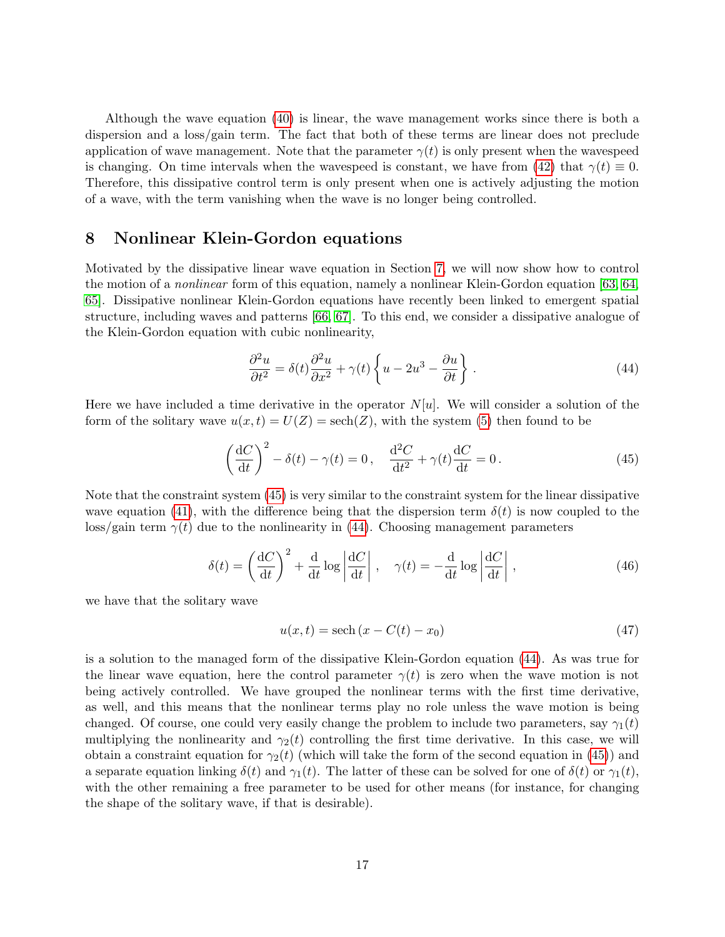Although the wave equation [\(40\)](#page-15-2) is linear, the wave management works since there is both a dispersion and a loss/gain term. The fact that both of these terms are linear does not preclude application of wave management. Note that the parameter  $\gamma(t)$  is only present when the wavespeed is changing. On time intervals when the wavespeed is constant, we have from [\(42\)](#page-15-3) that  $\gamma(t) \equiv 0$ . Therefore, this dissipative control term is only present when one is actively adjusting the motion of a wave, with the term vanishing when the wave is no longer being controlled.

## 8 Nonlinear Klein-Gordon equations

Motivated by the dissipative linear wave equation in Section [7,](#page-14-3) we will now show how to control the motion of a nonlinear form of this equation, namely a nonlinear Klein-Gordon equation [\[63,](#page-21-11) [64,](#page-21-12) [65\]](#page-22-0). Dissipative nonlinear Klein-Gordon equations have recently been linked to emergent spatial structure, including waves and patterns [\[66,](#page-22-1) [67\]](#page-22-2). To this end, we consider a dissipative analogue of the Klein-Gordon equation with cubic nonlinearity,

<span id="page-16-1"></span>
$$
\frac{\partial^2 u}{\partial t^2} = \delta(t)\frac{\partial^2 u}{\partial x^2} + \gamma(t)\left\{u - 2u^3 - \frac{\partial u}{\partial t}\right\}.
$$
\n(44)

Here we have included a time derivative in the operator  $N[u]$ . We will consider a solution of the form of the solitary wave  $u(x,t) = U(Z) = \operatorname{sech}(Z)$ , with the system [\(5\)](#page-2-3) then found to be

<span id="page-16-0"></span>
$$
\left(\frac{\mathrm{d}C}{\mathrm{d}t}\right)^2 - \delta(t) - \gamma(t) = 0, \quad \frac{\mathrm{d}^2C}{\mathrm{d}t^2} + \gamma(t)\frac{\mathrm{d}C}{\mathrm{d}t} = 0.
$$
\n(45)

Note that the constraint system [\(45\)](#page-16-0) is very similar to the constraint system for the linear dissipative wave equation [\(41\)](#page-15-4), with the difference being that the dispersion term  $\delta(t)$  is now coupled to the loss/gain term  $\gamma(t)$  due to the nonlinearity in [\(44\)](#page-16-1). Choosing management parameters

$$
\delta(t) = \left(\frac{\mathrm{d}C}{\mathrm{d}t}\right)^2 + \frac{\mathrm{d}}{\mathrm{d}t}\log\left|\frac{\mathrm{d}C}{\mathrm{d}t}\right|, \quad \gamma(t) = -\frac{\mathrm{d}}{\mathrm{d}t}\log\left|\frac{\mathrm{d}C}{\mathrm{d}t}\right|,\tag{46}
$$

we have that the solitary wave

$$
u(x,t) = \operatorname{sech}\left(x - C(t) - x_0\right) \tag{47}
$$

is a solution to the managed form of the dissipative Klein-Gordon equation [\(44\)](#page-16-1). As was true for the linear wave equation, here the control parameter  $\gamma(t)$  is zero when the wave motion is not being actively controlled. We have grouped the nonlinear terms with the first time derivative, as well, and this means that the nonlinear terms play no role unless the wave motion is being changed. Of course, one could very easily change the problem to include two parameters, say  $\gamma_1(t)$ multiplying the nonlinearity and  $\gamma_2(t)$  controlling the first time derivative. In this case, we will obtain a constraint equation for  $\gamma_2(t)$  (which will take the form of the second equation in [\(45\)](#page-16-0)) and a separate equation linking  $\delta(t)$  and  $\gamma_1(t)$ . The latter of these can be solved for one of  $\delta(t)$  or  $\gamma_1(t)$ , with the other remaining a free parameter to be used for other means (for instance, for changing the shape of the solitary wave, if that is desirable).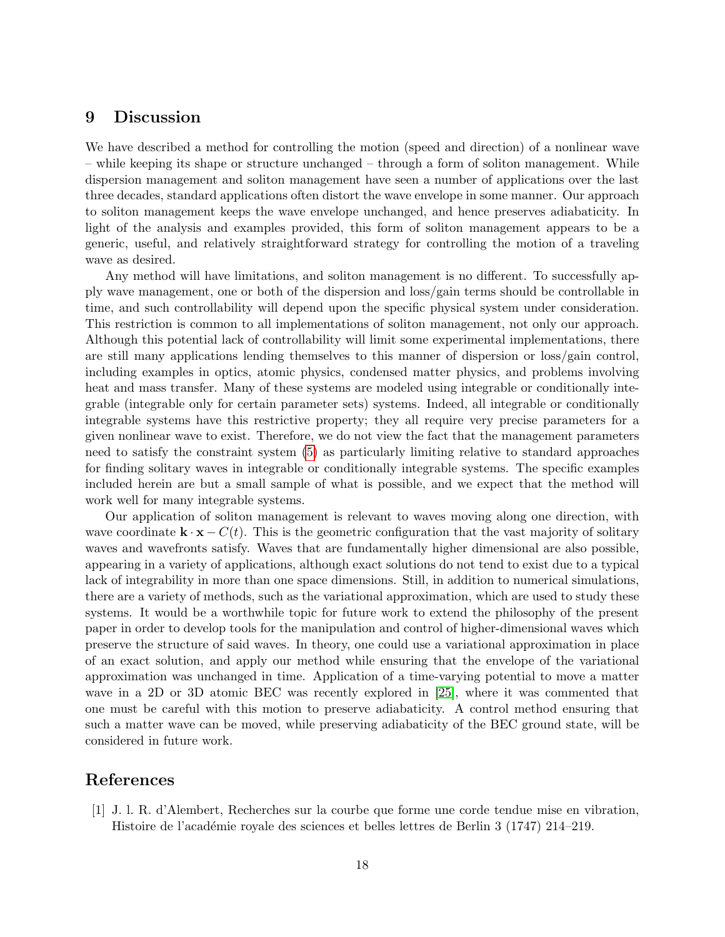# 9 Discussion

We have described a method for controlling the motion (speed and direction) of a nonlinear wave – while keeping its shape or structure unchanged – through a form of soliton management. While dispersion management and soliton management have seen a number of applications over the last three decades, standard applications often distort the wave envelope in some manner. Our approach to soliton management keeps the wave envelope unchanged, and hence preserves adiabaticity. In light of the analysis and examples provided, this form of soliton management appears to be a generic, useful, and relatively straightforward strategy for controlling the motion of a traveling wave as desired.

Any method will have limitations, and soliton management is no different. To successfully apply wave management, one or both of the dispersion and loss/gain terms should be controllable in time, and such controllability will depend upon the specific physical system under consideration. This restriction is common to all implementations of soliton management, not only our approach. Although this potential lack of controllability will limit some experimental implementations, there are still many applications lending themselves to this manner of dispersion or loss/gain control, including examples in optics, atomic physics, condensed matter physics, and problems involving heat and mass transfer. Many of these systems are modeled using integrable or conditionally integrable (integrable only for certain parameter sets) systems. Indeed, all integrable or conditionally integrable systems have this restrictive property; they all require very precise parameters for a given nonlinear wave to exist. Therefore, we do not view the fact that the management parameters need to satisfy the constraint system [\(5\)](#page-2-3) as particularly limiting relative to standard approaches for finding solitary waves in integrable or conditionally integrable systems. The specific examples included herein are but a small sample of what is possible, and we expect that the method will work well for many integrable systems.

Our application of soliton management is relevant to waves moving along one direction, with wave coordinate  $\mathbf{k} \cdot \mathbf{x} - C(t)$ . This is the geometric configuration that the vast majority of solitary waves and wavefronts satisfy. Waves that are fundamentally higher dimensional are also possible, appearing in a variety of applications, although exact solutions do not tend to exist due to a typical lack of integrability in more than one space dimensions. Still, in addition to numerical simulations, there are a variety of methods, such as the variational approximation, which are used to study these systems. It would be a worthwhile topic for future work to extend the philosophy of the present paper in order to develop tools for the manipulation and control of higher-dimensional waves which preserve the structure of said waves. In theory, one could use a variational approximation in place of an exact solution, and apply our method while ensuring that the envelope of the variational approximation was unchanged in time. Application of a time-varying potential to move a matter wave in a 2D or 3D atomic BEC was recently explored in [\[25\]](#page-19-7), where it was commented that one must be careful with this motion to preserve adiabaticity. A control method ensuring that such a matter wave can be moved, while preserving adiabaticity of the BEC ground state, will be considered in future work.

# References

<span id="page-17-0"></span>[1] J. l. R. d'Alembert, Recherches sur la courbe que forme une corde tendue mise en vibration, Histoire de l'académie royale des sciences et belles lettres de Berlin 3 (1747) 214–219.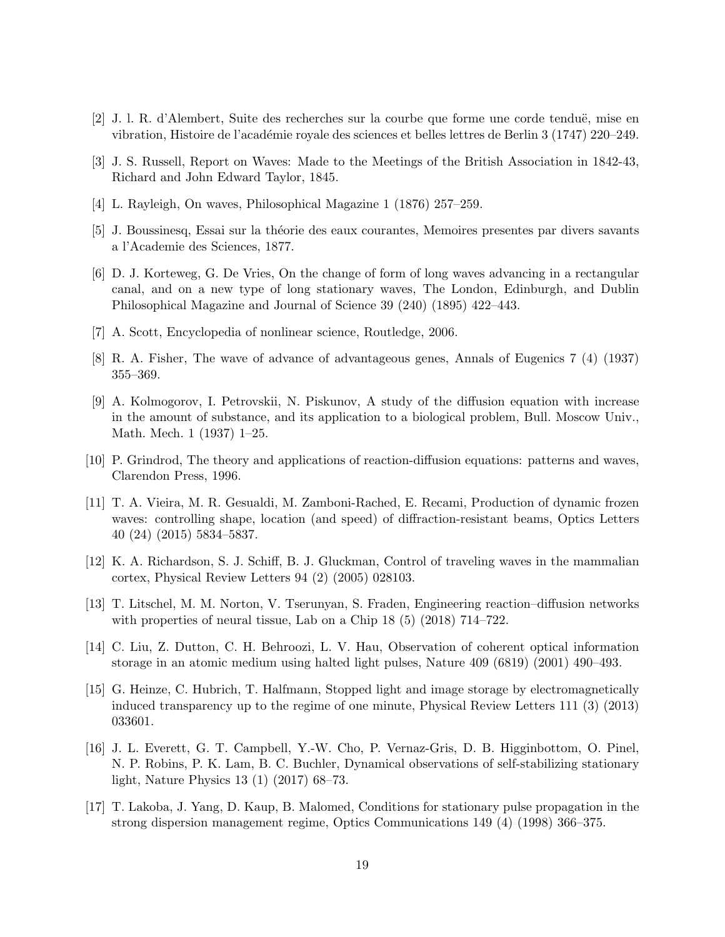- <span id="page-18-0"></span>[2] J. l. R. d'Alembert, Suite des recherches sur la courbe que forme une corde tendu¨e, mise en vibration, Histoire de l'académie royale des sciences et belles lettres de Berlin 3 (1747) 220–249.
- <span id="page-18-1"></span>[3] J. S. Russell, Report on Waves: Made to the Meetings of the British Association in 1842-43, Richard and John Edward Taylor, 1845.
- <span id="page-18-2"></span>[4] L. Rayleigh, On waves, Philosophical Magazine 1 (1876) 257–259.
- <span id="page-18-3"></span>[5] J. Boussinesq, Essai sur la th´eorie des eaux courantes, Memoires presentes par divers savants a l'Academie des Sciences, 1877.
- <span id="page-18-4"></span>[6] D. J. Korteweg, G. De Vries, On the change of form of long waves advancing in a rectangular canal, and on a new type of long stationary waves, The London, Edinburgh, and Dublin Philosophical Magazine and Journal of Science 39 (240) (1895) 422–443.
- <span id="page-18-5"></span>[7] A. Scott, Encyclopedia of nonlinear science, Routledge, 2006.
- <span id="page-18-6"></span>[8] R. A. Fisher, The wave of advance of advantageous genes, Annals of Eugenics 7 (4) (1937) 355–369.
- <span id="page-18-7"></span>[9] A. Kolmogorov, I. Petrovskii, N. Piskunov, A study of the diffusion equation with increase in the amount of substance, and its application to a biological problem, Bull. Moscow Univ., Math. Mech. 1 (1937) 1–25.
- <span id="page-18-8"></span>[10] P. Grindrod, The theory and applications of reaction-diffusion equations: patterns and waves, Clarendon Press, 1996.
- <span id="page-18-9"></span>[11] T. A. Vieira, M. R. Gesualdi, M. Zamboni-Rached, E. Recami, Production of dynamic frozen waves: controlling shape, location (and speed) of diffraction-resistant beams, Optics Letters 40 (24) (2015) 5834–5837.
- <span id="page-18-10"></span>[12] K. A. Richardson, S. J. Schiff, B. J. Gluckman, Control of traveling waves in the mammalian cortex, Physical Review Letters 94 (2) (2005) 028103.
- <span id="page-18-11"></span>[13] T. Litschel, M. M. Norton, V. Tserunyan, S. Fraden, Engineering reaction–diffusion networks with properties of neural tissue, Lab on a Chip  $18(5)(2018)$  714–722.
- <span id="page-18-12"></span>[14] C. Liu, Z. Dutton, C. H. Behroozi, L. V. Hau, Observation of coherent optical information storage in an atomic medium using halted light pulses, Nature 409 (6819) (2001) 490–493.
- <span id="page-18-13"></span>[15] G. Heinze, C. Hubrich, T. Halfmann, Stopped light and image storage by electromagnetically induced transparency up to the regime of one minute, Physical Review Letters 111 (3) (2013) 033601.
- <span id="page-18-14"></span>[16] J. L. Everett, G. T. Campbell, Y.-W. Cho, P. Vernaz-Gris, D. B. Higginbottom, O. Pinel, N. P. Robins, P. K. Lam, B. C. Buchler, Dynamical observations of self-stabilizing stationary light, Nature Physics 13 (1) (2017) 68–73.
- <span id="page-18-15"></span>[17] T. Lakoba, J. Yang, D. Kaup, B. Malomed, Conditions for stationary pulse propagation in the strong dispersion management regime, Optics Communications 149 (4) (1998) 366–375.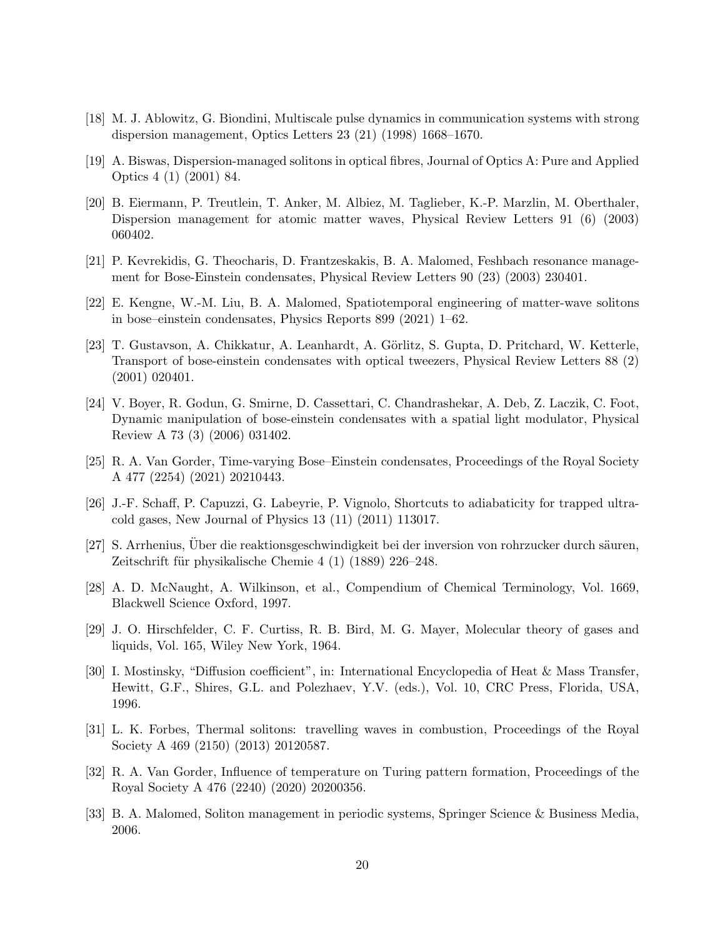- <span id="page-19-0"></span>[18] M. J. Ablowitz, G. Biondini, Multiscale pulse dynamics in communication systems with strong dispersion management, Optics Letters 23 (21) (1998) 1668–1670.
- <span id="page-19-1"></span>[19] A. Biswas, Dispersion-managed solitons in optical fibres, Journal of Optics A: Pure and Applied Optics 4 (1) (2001) 84.
- <span id="page-19-2"></span>[20] B. Eiermann, P. Treutlein, T. Anker, M. Albiez, M. Taglieber, K.-P. Marzlin, M. Oberthaler, Dispersion management for atomic matter waves, Physical Review Letters 91 (6) (2003) 060402.
- <span id="page-19-3"></span>[21] P. Kevrekidis, G. Theocharis, D. Frantzeskakis, B. A. Malomed, Feshbach resonance management for Bose-Einstein condensates, Physical Review Letters 90 (23) (2003) 230401.
- <span id="page-19-4"></span>[22] E. Kengne, W.-M. Liu, B. A. Malomed, Spatiotemporal engineering of matter-wave solitons in bose–einstein condensates, Physics Reports 899 (2021) 1–62.
- <span id="page-19-5"></span>[23] T. Gustavson, A. Chikkatur, A. Leanhardt, A. Görlitz, S. Gupta, D. Pritchard, W. Ketterle, Transport of bose-einstein condensates with optical tweezers, Physical Review Letters 88 (2) (2001) 020401.
- <span id="page-19-6"></span>[24] V. Boyer, R. Godun, G. Smirne, D. Cassettari, C. Chandrashekar, A. Deb, Z. Laczik, C. Foot, Dynamic manipulation of bose-einstein condensates with a spatial light modulator, Physical Review A 73 (3) (2006) 031402.
- <span id="page-19-7"></span>[25] R. A. Van Gorder, Time-varying Bose–Einstein condensates, Proceedings of the Royal Society A 477 (2254) (2021) 20210443.
- <span id="page-19-8"></span>[26] J.-F. Schaff, P. Capuzzi, G. Labeyrie, P. Vignolo, Shortcuts to adiabaticity for trapped ultracold gases, New Journal of Physics 13 (11) (2011) 113017.
- <span id="page-19-9"></span>[27] S. Arrhenius, Über die reaktionsgeschwindigkeit bei der inversion von rohrzucker durch säuren, Zeitschrift für physikalische Chemie  $4(1)(1889)$  226–248.
- <span id="page-19-10"></span>[28] A. D. McNaught, A. Wilkinson, et al., Compendium of Chemical Terminology, Vol. 1669, Blackwell Science Oxford, 1997.
- <span id="page-19-11"></span>[29] J. O. Hirschfelder, C. F. Curtiss, R. B. Bird, M. G. Mayer, Molecular theory of gases and liquids, Vol. 165, Wiley New York, 1964.
- <span id="page-19-12"></span>[30] I. Mostinsky, "Diffusion coefficient", in: International Encyclopedia of Heat & Mass Transfer, Hewitt, G.F., Shires, G.L. and Polezhaev, Y.V. (eds.), Vol. 10, CRC Press, Florida, USA, 1996.
- <span id="page-19-13"></span>[31] L. K. Forbes, Thermal solitons: travelling waves in combustion, Proceedings of the Royal Society A 469 (2150) (2013) 20120587.
- <span id="page-19-14"></span>[32] R. A. Van Gorder, Influence of temperature on Turing pattern formation, Proceedings of the Royal Society A 476 (2240) (2020) 20200356.
- <span id="page-19-15"></span>[33] B. A. Malomed, Soliton management in periodic systems, Springer Science & Business Media, 2006.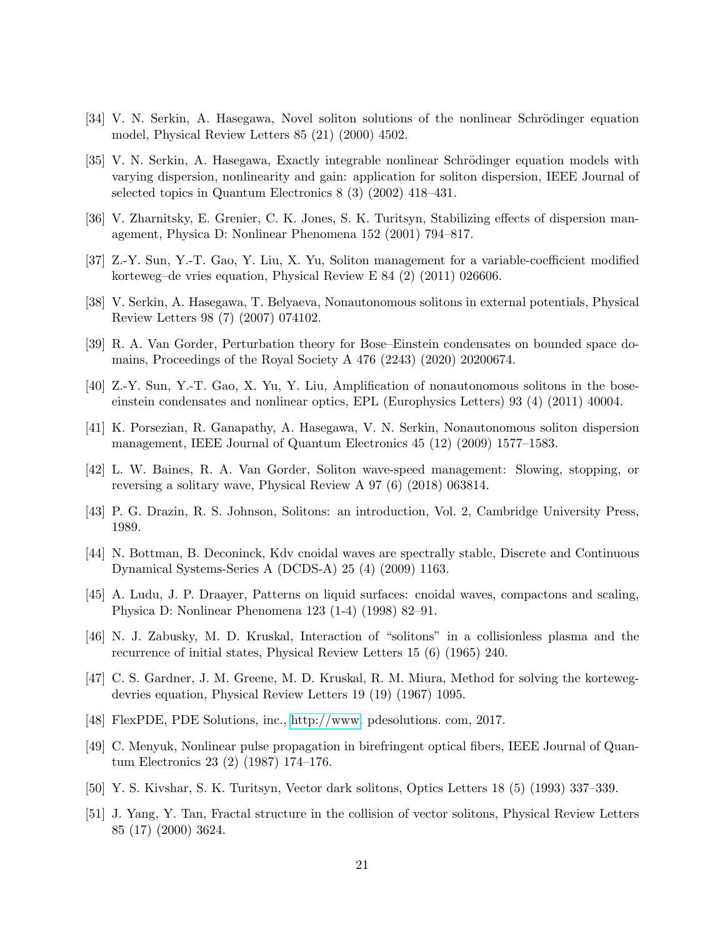- <span id="page-20-0"></span>[34] V. N. Serkin, A. Hasegawa, Novel soliton solutions of the nonlinear Schrödinger equation model, Physical Review Letters 85 (21) (2000) 4502.
- <span id="page-20-1"></span>[35] V. N. Serkin, A. Hasegawa, Exactly integrable nonlinear Schrödinger equation models with varying dispersion, nonlinearity and gain: application for soliton dispersion, IEEE Journal of selected topics in Quantum Electronics 8 (3) (2002) 418–431.
- <span id="page-20-2"></span>[36] V. Zharnitsky, E. Grenier, C. K. Jones, S. K. Turitsyn, Stabilizing effects of dispersion management, Physica D: Nonlinear Phenomena 152 (2001) 794–817.
- <span id="page-20-3"></span>[37] Z.-Y. Sun, Y.-T. Gao, Y. Liu, X. Yu, Soliton management for a variable-coefficient modified korteweg–de vries equation, Physical Review E 84 (2) (2011) 026606.
- <span id="page-20-4"></span>[38] V. Serkin, A. Hasegawa, T. Belyaeva, Nonautonomous solitons in external potentials, Physical Review Letters 98 (7) (2007) 074102.
- <span id="page-20-5"></span>[39] R. A. Van Gorder, Perturbation theory for Bose–Einstein condensates on bounded space domains, Proceedings of the Royal Society A 476 (2243) (2020) 20200674.
- <span id="page-20-6"></span>[40] Z.-Y. Sun, Y.-T. Gao, X. Yu, Y. Liu, Amplification of nonautonomous solitons in the boseeinstein condensates and nonlinear optics, EPL (Europhysics Letters) 93 (4) (2011) 40004.
- <span id="page-20-7"></span>[41] K. Porsezian, R. Ganapathy, A. Hasegawa, V. N. Serkin, Nonautonomous soliton dispersion management, IEEE Journal of Quantum Electronics 45 (12) (2009) 1577–1583.
- <span id="page-20-8"></span>[42] L. W. Baines, R. A. Van Gorder, Soliton wave-speed management: Slowing, stopping, or reversing a solitary wave, Physical Review A 97 (6) (2018) 063814.
- <span id="page-20-9"></span>[43] P. G. Drazin, R. S. Johnson, Solitons: an introduction, Vol. 2, Cambridge University Press, 1989.
- <span id="page-20-10"></span>[44] N. Bottman, B. Deconinck, Kdv cnoidal waves are spectrally stable, Discrete and Continuous Dynamical Systems-Series A (DCDS-A) 25 (4) (2009) 1163.
- <span id="page-20-11"></span>[45] A. Ludu, J. P. Draayer, Patterns on liquid surfaces: cnoidal waves, compactons and scaling, Physica D: Nonlinear Phenomena 123 (1-4) (1998) 82–91.
- <span id="page-20-12"></span>[46] N. J. Zabusky, M. D. Kruskal, Interaction of "solitons" in a collisionless plasma and the recurrence of initial states, Physical Review Letters 15 (6) (1965) 240.
- <span id="page-20-13"></span>[47] C. S. Gardner, J. M. Greene, M. D. Kruskal, R. M. Miura, Method for solving the kortewegdevries equation, Physical Review Letters 19 (19) (1967) 1095.
- <span id="page-20-14"></span>[48] FlexPDE, PDE Solutions, inc., [http://www.](http://www) pdesolutions. com, 2017.
- <span id="page-20-15"></span>[49] C. Menyuk, Nonlinear pulse propagation in birefringent optical fibers, IEEE Journal of Quantum Electronics 23 (2) (1987) 174–176.
- <span id="page-20-16"></span>[50] Y. S. Kivshar, S. K. Turitsyn, Vector dark solitons, Optics Letters 18 (5) (1993) 337–339.
- <span id="page-20-17"></span>[51] J. Yang, Y. Tan, Fractal structure in the collision of vector solitons, Physical Review Letters 85 (17) (2000) 3624.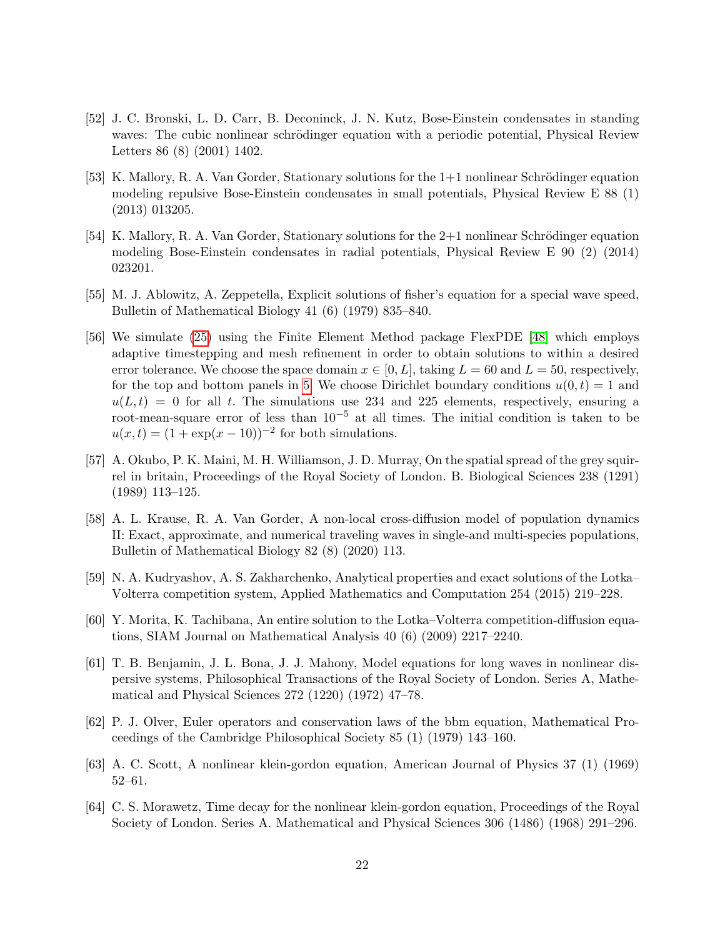- <span id="page-21-0"></span>[52] J. C. Bronski, L. D. Carr, B. Deconinck, J. N. Kutz, Bose-Einstein condensates in standing waves: The cubic nonlinear schrödinger equation with a periodic potential, Physical Review Letters 86 (8) (2001) 1402.
- <span id="page-21-1"></span>[53] K. Mallory, R. A. Van Gorder, Stationary solutions for the  $1+1$  nonlinear Schrödinger equation modeling repulsive Bose-Einstein condensates in small potentials, Physical Review E 88 (1) (2013) 013205.
- <span id="page-21-2"></span>[54] K. Mallory, R. A. Van Gorder, Stationary solutions for the  $2+1$  nonlinear Schrödinger equation modeling Bose-Einstein condensates in radial potentials, Physical Review E 90 (2) (2014) 023201.
- <span id="page-21-3"></span>[55] M. J. Ablowitz, A. Zeppetella, Explicit solutions of fisher's equation for a special wave speed, Bulletin of Mathematical Biology 41 (6) (1979) 835–840.
- <span id="page-21-4"></span>[56] We simulate [\(25\)](#page-11-1) using the Finite Element Method package FlexPDE [\[48\]](#page-20-14) which employs adaptive timestepping and mesh refinement in order to obtain solutions to within a desired error tolerance. We choose the space domain  $x \in [0, L]$ , taking  $L = 60$  and  $L = 50$ , respectively, for the top and bottom panels in [5.](#page-13-0) We choose Dirichlet boundary conditions  $u(0, t) = 1$  and  $u(L, t) = 0$  for all t. The simulations use 234 and 225 elements, respectively, ensuring a root-mean-square error of less than  $10^{-5}$  at all times. The initial condition is taken to be  $u(x,t) = (1 + \exp(x - 10))^{-2}$  for both simulations.
- <span id="page-21-5"></span>[57] A. Okubo, P. K. Maini, M. H. Williamson, J. D. Murray, On the spatial spread of the grey squirrel in britain, Proceedings of the Royal Society of London. B. Biological Sciences 238 (1291) (1989) 113–125.
- <span id="page-21-6"></span>[58] A. L. Krause, R. A. Van Gorder, A non-local cross-diffusion model of population dynamics II: Exact, approximate, and numerical traveling waves in single-and multi-species populations, Bulletin of Mathematical Biology 82 (8) (2020) 113.
- <span id="page-21-7"></span>[59] N. A. Kudryashov, A. S. Zakharchenko, Analytical properties and exact solutions of the Lotka– Volterra competition system, Applied Mathematics and Computation 254 (2015) 219–228.
- <span id="page-21-8"></span>[60] Y. Morita, K. Tachibana, An entire solution to the Lotka–Volterra competition-diffusion equations, SIAM Journal on Mathematical Analysis 40 (6) (2009) 2217–2240.
- <span id="page-21-9"></span>[61] T. B. Benjamin, J. L. Bona, J. J. Mahony, Model equations for long waves in nonlinear dispersive systems, Philosophical Transactions of the Royal Society of London. Series A, Mathematical and Physical Sciences 272 (1220) (1972) 47–78.
- <span id="page-21-10"></span>[62] P. J. Olver, Euler operators and conservation laws of the bbm equation, Mathematical Proceedings of the Cambridge Philosophical Society 85 (1) (1979) 143–160.
- <span id="page-21-11"></span>[63] A. C. Scott, A nonlinear klein-gordon equation, American Journal of Physics 37 (1) (1969) 52–61.
- <span id="page-21-12"></span>[64] C. S. Morawetz, Time decay for the nonlinear klein-gordon equation, Proceedings of the Royal Society of London. Series A. Mathematical and Physical Sciences 306 (1486) (1968) 291–296.